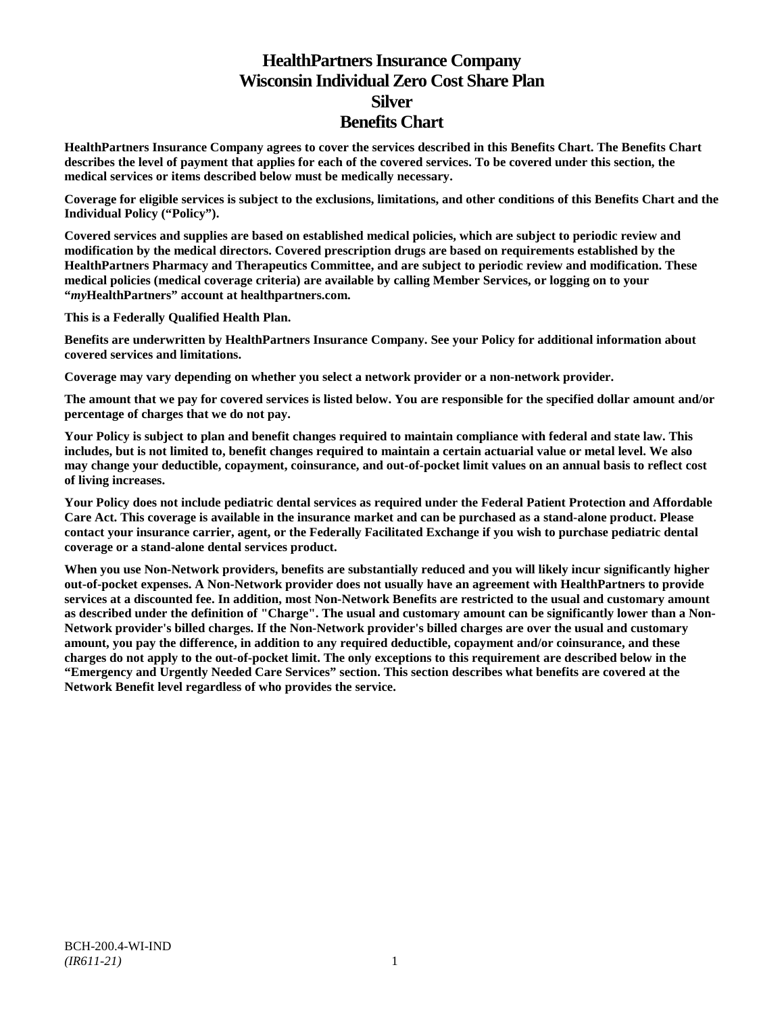# **HealthPartners Insurance Company Wisconsin Individual Zero Cost Share Plan Silver Benefits Chart**

**HealthPartners Insurance Company agrees to cover the services described in this Benefits Chart. The Benefits Chart describes the level of payment that applies for each of the covered services. To be covered under this section, the medical services or items described below must be medically necessary.**

**Coverage for eligible services is subject to the exclusions, limitations, and other conditions of this Benefits Chart and the Individual Policy ("Policy").**

**Covered services and supplies are based on established medical policies, which are subject to periodic review and modification by the medical directors. Covered prescription drugs are based on requirements established by the HealthPartners Pharmacy and Therapeutics Committee, and are subject to periodic review and modification. These medical policies (medical coverage criteria) are available by calling Member Services, or logging on to your "***my***HealthPartners" account at [healthpartners.com.](http://www.healthpartners.com/)**

**This is a Federally Qualified Health Plan.**

**Benefits are underwritten by HealthPartners Insurance Company. See your Policy for additional information about covered services and limitations.**

**Coverage may vary depending on whether you select a network provider or a non-network provider.**

**The amount that we pay for covered services is listed below. You are responsible for the specified dollar amount and/or percentage of charges that we do not pay.**

**Your Policy is subject to plan and benefit changes required to maintain compliance with federal and state law. This includes, but is not limited to, benefit changes required to maintain a certain actuarial value or metal level. We also may change your deductible, copayment, coinsurance, and out-of-pocket limit values on an annual basis to reflect cost of living increases.**

**Your Policy does not include pediatric dental services as required under the Federal Patient Protection and Affordable Care Act. This coverage is available in the insurance market and can be purchased as a stand-alone product. Please contact your insurance carrier, agent, or the Federally Facilitated Exchange if you wish to purchase pediatric dental coverage or a stand-alone dental services product.**

**When you use Non-Network providers, benefits are substantially reduced and you will likely incur significantly higher out-of-pocket expenses. A Non-Network provider does not usually have an agreement with HealthPartners to provide services at a discounted fee. In addition, most Non-Network Benefits are restricted to the usual and customary amount as described under the definition of "Charge". The usual and customary amount can be significantly lower than a Non-Network provider's billed charges. If the Non-Network provider's billed charges are over the usual and customary amount, you pay the difference, in addition to any required deductible, copayment and/or coinsurance, and these charges do not apply to the out-of-pocket limit. The only exceptions to this requirement are described below in the "Emergency and Urgently Needed Care Services" section. This section describes what benefits are covered at the Network Benefit level regardless of who provides the service.**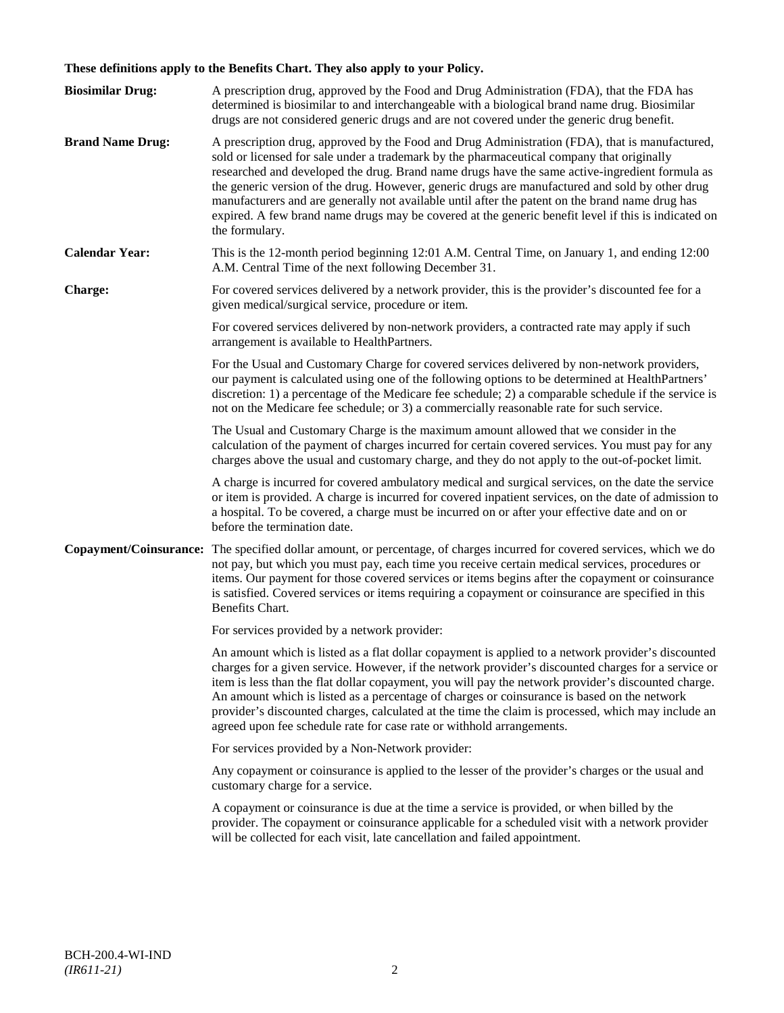## **These definitions apply to the Benefits Chart. They also apply to your Policy.**

| <b>Biosimilar Drug:</b> | A prescription drug, approved by the Food and Drug Administration (FDA), that the FDA has<br>determined is biosimilar to and interchangeable with a biological brand name drug. Biosimilar<br>drugs are not considered generic drugs and are not covered under the generic drug benefit.                                                                                                                                                                                                                                                                                                                                     |
|-------------------------|------------------------------------------------------------------------------------------------------------------------------------------------------------------------------------------------------------------------------------------------------------------------------------------------------------------------------------------------------------------------------------------------------------------------------------------------------------------------------------------------------------------------------------------------------------------------------------------------------------------------------|
| <b>Brand Name Drug:</b> | A prescription drug, approved by the Food and Drug Administration (FDA), that is manufactured,<br>sold or licensed for sale under a trademark by the pharmaceutical company that originally<br>researched and developed the drug. Brand name drugs have the same active-ingredient formula as<br>the generic version of the drug. However, generic drugs are manufactured and sold by other drug<br>manufacturers and are generally not available until after the patent on the brand name drug has<br>expired. A few brand name drugs may be covered at the generic benefit level if this is indicated on<br>the formulary. |
| <b>Calendar Year:</b>   | This is the 12-month period beginning 12:01 A.M. Central Time, on January 1, and ending 12:00<br>A.M. Central Time of the next following December 31.                                                                                                                                                                                                                                                                                                                                                                                                                                                                        |
| Charge:                 | For covered services delivered by a network provider, this is the provider's discounted fee for a<br>given medical/surgical service, procedure or item.                                                                                                                                                                                                                                                                                                                                                                                                                                                                      |
|                         | For covered services delivered by non-network providers, a contracted rate may apply if such<br>arrangement is available to HealthPartners.                                                                                                                                                                                                                                                                                                                                                                                                                                                                                  |
|                         | For the Usual and Customary Charge for covered services delivered by non-network providers,<br>our payment is calculated using one of the following options to be determined at HealthPartners'<br>discretion: 1) a percentage of the Medicare fee schedule; 2) a comparable schedule if the service is<br>not on the Medicare fee schedule; or 3) a commercially reasonable rate for such service.                                                                                                                                                                                                                          |
|                         | The Usual and Customary Charge is the maximum amount allowed that we consider in the<br>calculation of the payment of charges incurred for certain covered services. You must pay for any<br>charges above the usual and customary charge, and they do not apply to the out-of-pocket limit.                                                                                                                                                                                                                                                                                                                                 |
|                         | A charge is incurred for covered ambulatory medical and surgical services, on the date the service<br>or item is provided. A charge is incurred for covered inpatient services, on the date of admission to<br>a hospital. To be covered, a charge must be incurred on or after your effective date and on or<br>before the termination date.                                                                                                                                                                                                                                                                                |
| Copayment/Coinsurance:  | The specified dollar amount, or percentage, of charges incurred for covered services, which we do<br>not pay, but which you must pay, each time you receive certain medical services, procedures or<br>items. Our payment for those covered services or items begins after the copayment or coinsurance<br>is satisfied. Covered services or items requiring a copayment or coinsurance are specified in this<br>Benefits Chart.                                                                                                                                                                                             |
|                         | For services provided by a network provider:                                                                                                                                                                                                                                                                                                                                                                                                                                                                                                                                                                                 |
|                         | An amount which is listed as a flat dollar copayment is applied to a network provider's discounted<br>charges for a given service. However, if the network provider's discounted charges for a service or<br>item is less than the flat dollar copayment, you will pay the network provider's discounted charge.<br>An amount which is listed as a percentage of charges or coinsurance is based on the network<br>provider's discounted charges, calculated at the time the claim is processed, which may include an<br>agreed upon fee schedule rate for case rate or withhold arrangements.                               |
|                         | For services provided by a Non-Network provider:                                                                                                                                                                                                                                                                                                                                                                                                                                                                                                                                                                             |
|                         | Any copayment or coinsurance is applied to the lesser of the provider's charges or the usual and<br>customary charge for a service.                                                                                                                                                                                                                                                                                                                                                                                                                                                                                          |
|                         | A copayment or coinsurance is due at the time a service is provided, or when billed by the<br>provider. The copayment or coinsurance applicable for a scheduled visit with a network provider<br>will be collected for each visit, late cancellation and failed appointment.                                                                                                                                                                                                                                                                                                                                                 |
|                         |                                                                                                                                                                                                                                                                                                                                                                                                                                                                                                                                                                                                                              |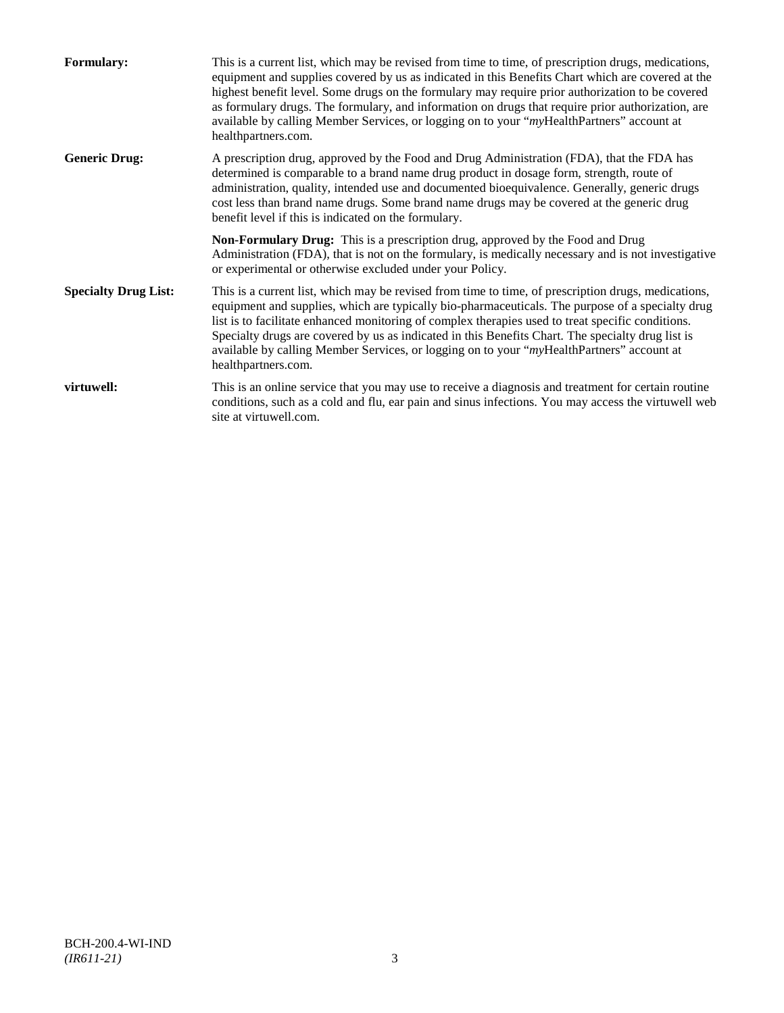| <b>Formulary:</b>           | This is a current list, which may be revised from time to time, of prescription drugs, medications,<br>equipment and supplies covered by us as indicated in this Benefits Chart which are covered at the<br>highest benefit level. Some drugs on the formulary may require prior authorization to be covered<br>as formulary drugs. The formulary, and information on drugs that require prior authorization, are<br>available by calling Member Services, or logging on to your "myHealthPartners" account at<br>healthpartners.com. |
|-----------------------------|---------------------------------------------------------------------------------------------------------------------------------------------------------------------------------------------------------------------------------------------------------------------------------------------------------------------------------------------------------------------------------------------------------------------------------------------------------------------------------------------------------------------------------------|
| <b>Generic Drug:</b>        | A prescription drug, approved by the Food and Drug Administration (FDA), that the FDA has<br>determined is comparable to a brand name drug product in dosage form, strength, route of<br>administration, quality, intended use and documented bioequivalence. Generally, generic drugs<br>cost less than brand name drugs. Some brand name drugs may be covered at the generic drug<br>benefit level if this is indicated on the formulary.                                                                                           |
|                             | <b>Non-Formulary Drug:</b> This is a prescription drug, approved by the Food and Drug<br>Administration (FDA), that is not on the formulary, is medically necessary and is not investigative<br>or experimental or otherwise excluded under your Policy.                                                                                                                                                                                                                                                                              |
| <b>Specialty Drug List:</b> | This is a current list, which may be revised from time to time, of prescription drugs, medications,<br>equipment and supplies, which are typically bio-pharmaceuticals. The purpose of a specialty drug<br>list is to facilitate enhanced monitoring of complex therapies used to treat specific conditions.<br>Specialty drugs are covered by us as indicated in this Benefits Chart. The specialty drug list is<br>available by calling Member Services, or logging on to your "myHealthPartners" account at<br>healthpartners.com. |
| virtuwell:                  | This is an online service that you may use to receive a diagnosis and treatment for certain routine<br>conditions, such as a cold and flu, ear pain and sinus infections. You may access the virtuwell web<br>site at virtuwell.com.                                                                                                                                                                                                                                                                                                  |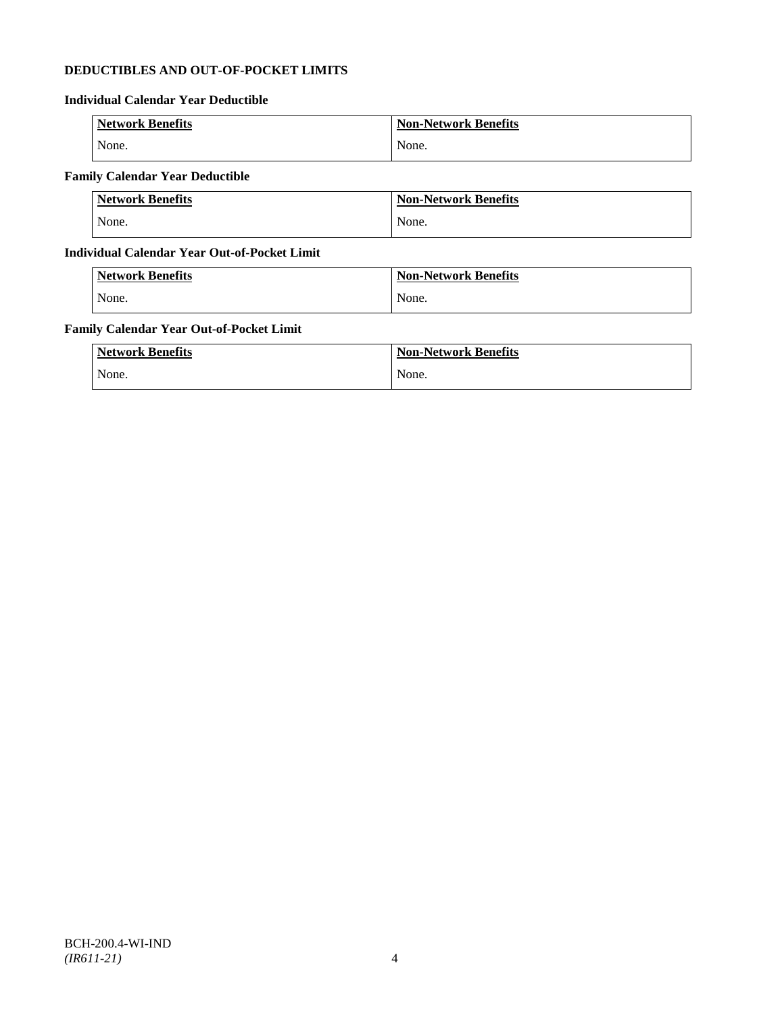## **DEDUCTIBLES AND OUT-OF-POCKET LIMITS**

## **Individual Calendar Year Deductible**

| <b>Network Benefits</b> | <b>Non-Network Benefits</b> |
|-------------------------|-----------------------------|
| None.                   | None.                       |

## **Family Calendar Year Deductible**

| <b>Network Benefits</b> | <b>Non-Network Benefits</b> |
|-------------------------|-----------------------------|
| None.                   | None.                       |

## **Individual Calendar Year Out-of-Pocket Limit**

| <b>Network Benefits</b> | <b>Non-Network Benefits</b> |
|-------------------------|-----------------------------|
| None.                   | None.                       |

## **Family Calendar Year Out-of-Pocket Limit**

| <b>Network Benefits</b> | <b>Non-Network Benefits</b> |
|-------------------------|-----------------------------|
| None.                   | None.                       |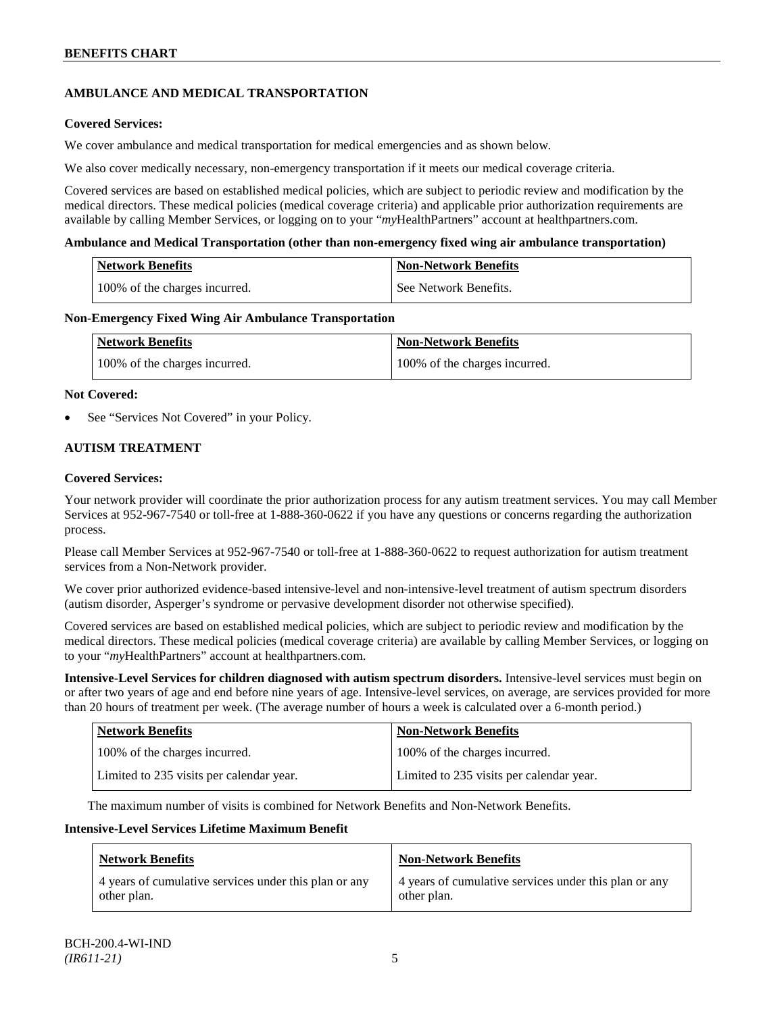## **AMBULANCE AND MEDICAL TRANSPORTATION**

## **Covered Services:**

We cover ambulance and medical transportation for medical emergencies and as shown below.

We also cover medically necessary, non-emergency transportation if it meets our medical coverage criteria.

Covered services are based on established medical policies, which are subject to periodic review and modification by the medical directors. These medical policies (medical coverage criteria) and applicable prior authorization requirements are available by calling Member Services, or logging on to your "*my*HealthPartners" account a[t healthpartners.com.](http://www.healthpartners.com/)

### **Ambulance and Medical Transportation (other than non-emergency fixed wing air ambulance transportation)**

| <b>Network Benefits</b> |                               | Non-Network Benefits  |
|-------------------------|-------------------------------|-----------------------|
|                         | 100% of the charges incurred. | See Network Benefits. |

### **Non-Emergency Fixed Wing Air Ambulance Transportation**

| <b>Network Benefits</b>       | <b>Non-Network Benefits</b>   |
|-------------------------------|-------------------------------|
| 100% of the charges incurred. | 100% of the charges incurred. |

### **Not Covered:**

See "Services Not Covered" in your Policy.

## **AUTISM TREATMENT**

### **Covered Services:**

Your network provider will coordinate the prior authorization process for any autism treatment services. You may call Member Services at 952-967-7540 or toll-free at 1-888-360-0622 if you have any questions or concerns regarding the authorization process.

Please call Member Services at 952-967-7540 or toll-free at 1-888-360-0622 to request authorization for autism treatment services from a Non-Network provider.

We cover prior authorized evidence-based intensive-level and non-intensive-level treatment of autism spectrum disorders (autism disorder, Asperger's syndrome or pervasive development disorder not otherwise specified).

Covered services are based on established medical policies, which are subject to periodic review and modification by the medical directors. These medical policies (medical coverage criteria) are available by calling Member Services, or logging on to your "*my*HealthPartners" account at [healthpartners.com.](http://www.healthpartners.com/)

**Intensive-Level Services for children diagnosed with autism spectrum disorders.** Intensive-level services must begin on or after two years of age and end before nine years of age. Intensive-level services, on average, are services provided for more than 20 hours of treatment per week. (The average number of hours a week is calculated over a 6-month period.)

| <b>Network Benefits</b>                  | <b>Non-Network Benefits</b>              |
|------------------------------------------|------------------------------------------|
| 100% of the charges incurred.            | 100% of the charges incurred.            |
| Limited to 235 visits per calendar year. | Limited to 235 visits per calendar year. |

The maximum number of visits is combined for Network Benefits and Non-Network Benefits.

#### **Intensive-Level Services Lifetime Maximum Benefit**

| <b>Network Benefits</b>                               | <b>Non-Network Benefits</b>                           |
|-------------------------------------------------------|-------------------------------------------------------|
| 4 years of cumulative services under this plan or any | 4 years of cumulative services under this plan or any |
| other plan.                                           | other plan.                                           |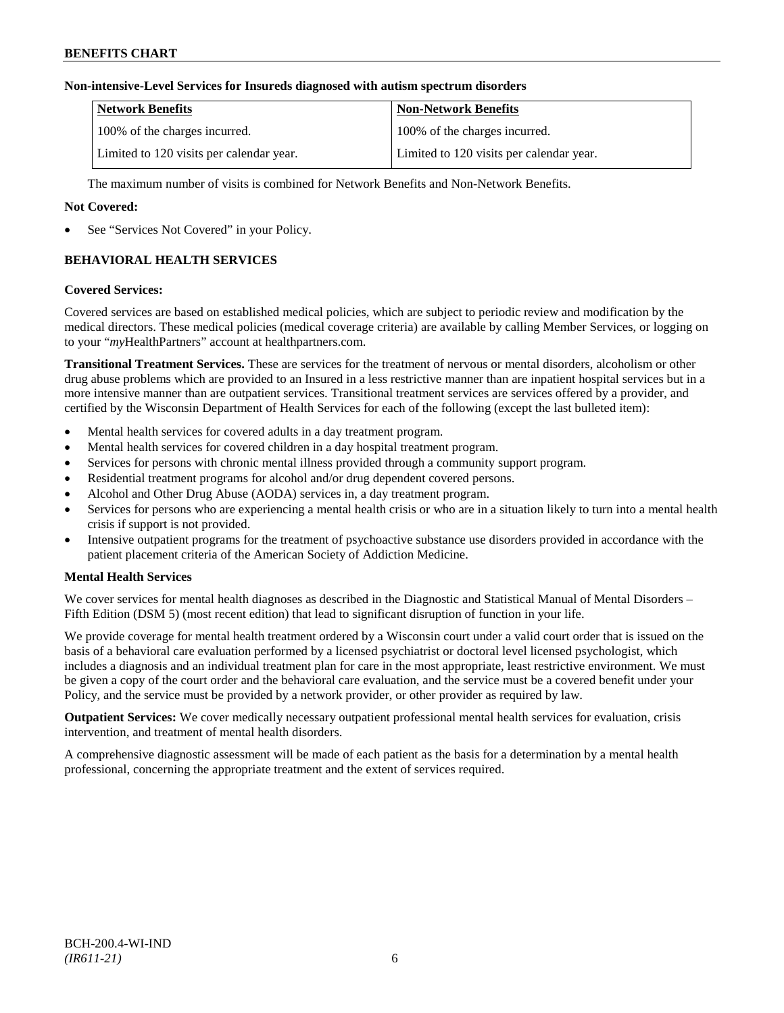## **Non-intensive-Level Services for Insureds diagnosed with autism spectrum disorders**

| Network Benefits                         | <b>Non-Network Benefits</b>              |
|------------------------------------------|------------------------------------------|
| 100% of the charges incurred.            | 100% of the charges incurred.            |
| Limited to 120 visits per calendar year. | Limited to 120 visits per calendar year. |

The maximum number of visits is combined for Network Benefits and Non-Network Benefits.

## **Not Covered:**

See "Services Not Covered" in your Policy.

## **BEHAVIORAL HEALTH SERVICES**

### **Covered Services:**

Covered services are based on established medical policies, which are subject to periodic review and modification by the medical directors. These medical policies (medical coverage criteria) are available by calling Member Services, or logging on to your "*my*HealthPartners" account at [healthpartners.com.](http://www.healthpartners.com/)

**Transitional Treatment Services.** These are services for the treatment of nervous or mental disorders, alcoholism or other drug abuse problems which are provided to an Insured in a less restrictive manner than are inpatient hospital services but in a more intensive manner than are outpatient services. Transitional treatment services are services offered by a provider, and certified by the Wisconsin Department of Health Services for each of the following (except the last bulleted item):

- Mental health services for covered adults in a day treatment program.
- Mental health services for covered children in a day hospital treatment program.
- Services for persons with chronic mental illness provided through a community support program.
- Residential treatment programs for alcohol and/or drug dependent covered persons.
- Alcohol and Other Drug Abuse (AODA) services in, a day treatment program.
- Services for persons who are experiencing a mental health crisis or who are in a situation likely to turn into a mental health crisis if support is not provided.
- Intensive outpatient programs for the treatment of psychoactive substance use disorders provided in accordance with the patient placement criteria of the American Society of Addiction Medicine.

## **Mental Health Services**

We cover services for mental health diagnoses as described in the Diagnostic and Statistical Manual of Mental Disorders – Fifth Edition (DSM 5) (most recent edition) that lead to significant disruption of function in your life.

We provide coverage for mental health treatment ordered by a Wisconsin court under a valid court order that is issued on the basis of a behavioral care evaluation performed by a licensed psychiatrist or doctoral level licensed psychologist, which includes a diagnosis and an individual treatment plan for care in the most appropriate, least restrictive environment. We must be given a copy of the court order and the behavioral care evaluation, and the service must be a covered benefit under your Policy, and the service must be provided by a network provider, or other provider as required by law.

**Outpatient Services:** We cover medically necessary outpatient professional mental health services for evaluation, crisis intervention, and treatment of mental health disorders.

A comprehensive diagnostic assessment will be made of each patient as the basis for a determination by a mental health professional, concerning the appropriate treatment and the extent of services required.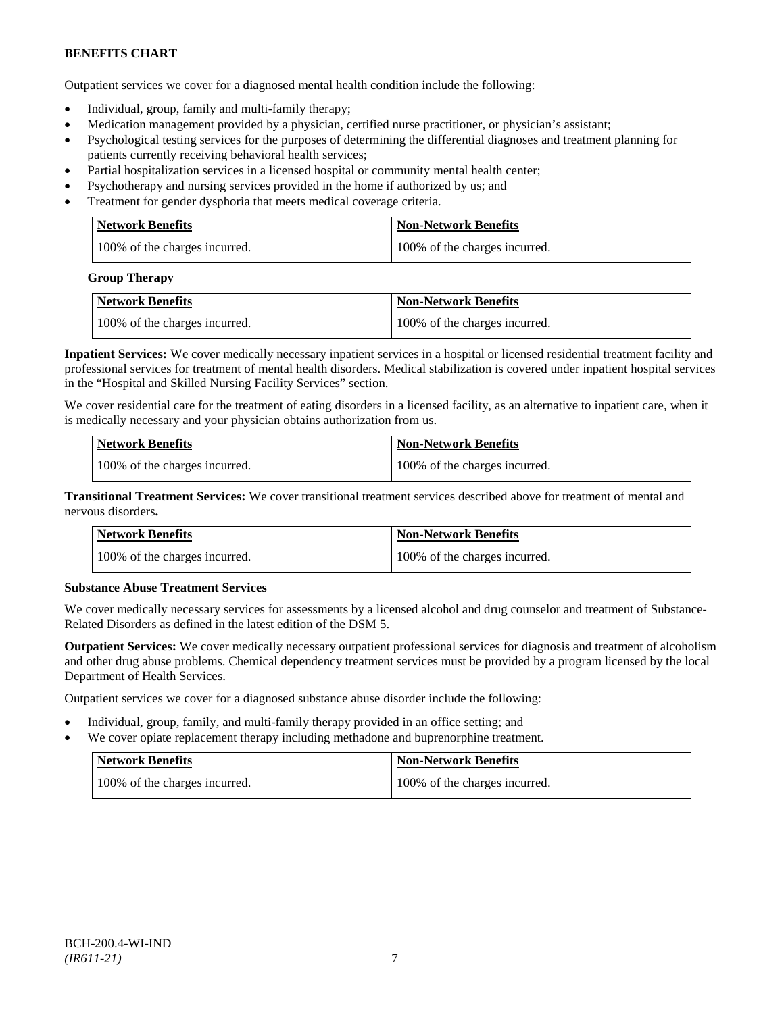Outpatient services we cover for a diagnosed mental health condition include the following:

- Individual, group, family and multi-family therapy;
- Medication management provided by a physician, certified nurse practitioner, or physician's assistant;
- Psychological testing services for the purposes of determining the differential diagnoses and treatment planning for patients currently receiving behavioral health services;
- Partial hospitalization services in a licensed hospital or community mental health center;
- Psychotherapy and nursing services provided in the home if authorized by us; and
- Treatment for gender dysphoria that meets medical coverage criteria.

| <b>Network Benefits</b>       | Non-Network Benefits          |
|-------------------------------|-------------------------------|
| 100% of the charges incurred. | 100% of the charges incurred. |

#### **Group Therapy**

| Network Benefits              | <b>Non-Network Benefits</b>   |
|-------------------------------|-------------------------------|
| 100% of the charges incurred. | 100% of the charges incurred. |

**Inpatient Services:** We cover medically necessary inpatient services in a hospital or licensed residential treatment facility and professional services for treatment of mental health disorders. Medical stabilization is covered under inpatient hospital services in the "Hospital and Skilled Nursing Facility Services" section.

We cover residential care for the treatment of eating disorders in a licensed facility, as an alternative to inpatient care, when it is medically necessary and your physician obtains authorization from us.

| <b>Network Benefits</b>       | <b>Non-Network Benefits</b>   |
|-------------------------------|-------------------------------|
| 100% of the charges incurred. | 100% of the charges incurred. |

**Transitional Treatment Services:** We cover transitional treatment services described above for treatment of mental and nervous disorders**.**

| <b>Network Benefits</b>       | <b>Non-Network Benefits</b>   |
|-------------------------------|-------------------------------|
| 100% of the charges incurred. | 100% of the charges incurred. |

## **Substance Abuse Treatment Services**

We cover medically necessary services for assessments by a licensed alcohol and drug counselor and treatment of Substance-Related Disorders as defined in the latest edition of the DSM 5.

**Outpatient Services:** We cover medically necessary outpatient professional services for diagnosis and treatment of alcoholism and other drug abuse problems. Chemical dependency treatment services must be provided by a program licensed by the local Department of Health Services.

Outpatient services we cover for a diagnosed substance abuse disorder include the following:

- Individual, group, family, and multi-family therapy provided in an office setting; and
- We cover opiate replacement therapy including methadone and buprenorphine treatment.

| Network Benefits              | Non-Network Benefits          |
|-------------------------------|-------------------------------|
| 100% of the charges incurred. | 100% of the charges incurred. |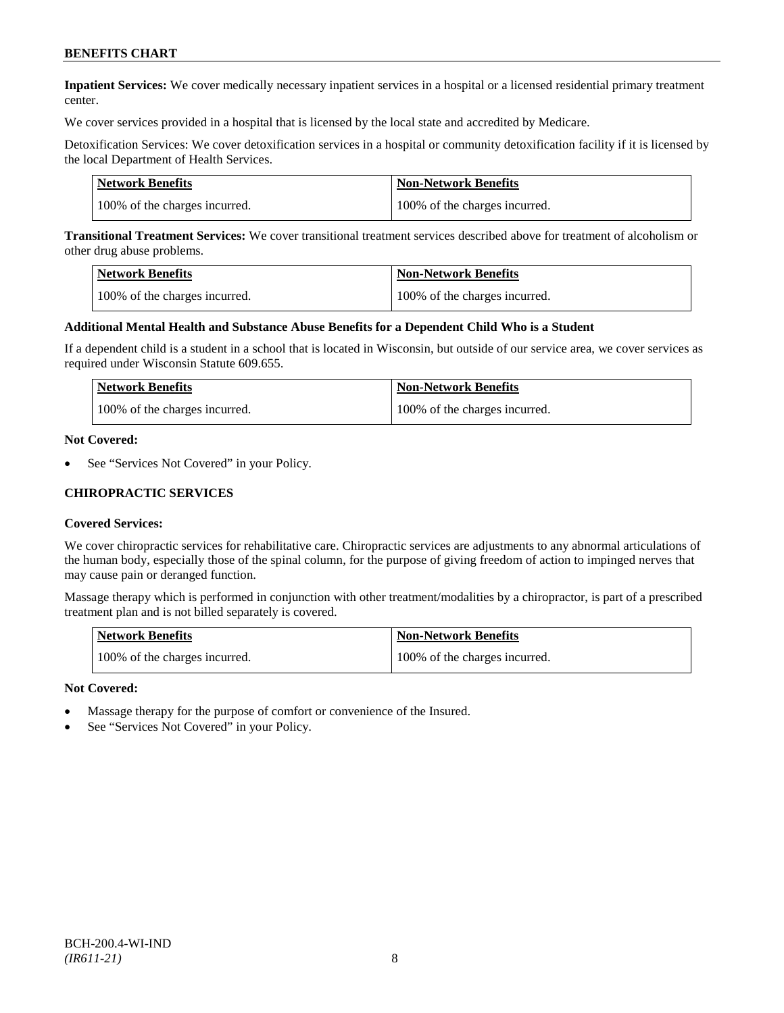**Inpatient Services:** We cover medically necessary inpatient services in a hospital or a licensed residential primary treatment center.

We cover services provided in a hospital that is licensed by the local state and accredited by Medicare.

Detoxification Services: We cover detoxification services in a hospital or community detoxification facility if it is licensed by the local Department of Health Services.

| <b>Network Benefits</b>       | Non-Network Benefits          |
|-------------------------------|-------------------------------|
| 100% of the charges incurred. | 100% of the charges incurred. |

**Transitional Treatment Services:** We cover transitional treatment services described above for treatment of alcoholism or other drug abuse problems.

| <b>Network Benefits</b>       | <b>Non-Network Benefits</b>   |
|-------------------------------|-------------------------------|
| 100% of the charges incurred. | 100% of the charges incurred. |

#### **Additional Mental Health and Substance Abuse Benefits for a Dependent Child Who is a Student**

If a dependent child is a student in a school that is located in Wisconsin, but outside of our service area, we cover services as required under Wisconsin Statute 609.655.

| Network Benefits              | Non-Network Benefits          |
|-------------------------------|-------------------------------|
| 100% of the charges incurred. | 100% of the charges incurred. |

#### **Not Covered:**

See "Services Not Covered" in your Policy.

### **CHIROPRACTIC SERVICES**

#### **Covered Services:**

We cover chiropractic services for rehabilitative care. Chiropractic services are adjustments to any abnormal articulations of the human body, especially those of the spinal column, for the purpose of giving freedom of action to impinged nerves that may cause pain or deranged function.

Massage therapy which is performed in conjunction with other treatment/modalities by a chiropractor, is part of a prescribed treatment plan and is not billed separately is covered.

| <b>Network Benefits</b>       | <b>Non-Network Benefits</b>   |
|-------------------------------|-------------------------------|
| 100% of the charges incurred. | 100% of the charges incurred. |

#### **Not Covered:**

- Massage therapy for the purpose of comfort or convenience of the Insured.
- See "Services Not Covered" in your Policy.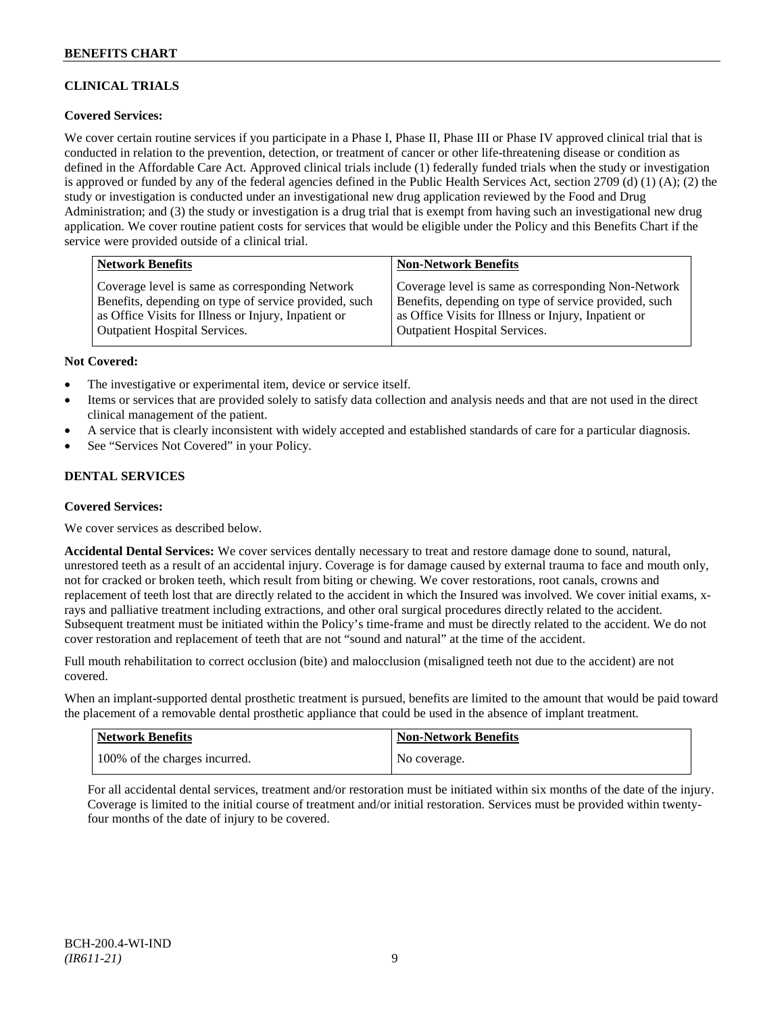## **CLINICAL TRIALS**

## **Covered Services:**

We cover certain routine services if you participate in a Phase I, Phase II, Phase III or Phase IV approved clinical trial that is conducted in relation to the prevention, detection, or treatment of cancer or other life-threatening disease or condition as defined in the Affordable Care Act. Approved clinical trials include (1) federally funded trials when the study or investigation is approved or funded by any of the federal agencies defined in the Public Health Services Act, section 2709 (d) (1) (A); (2) the study or investigation is conducted under an investigational new drug application reviewed by the Food and Drug Administration; and (3) the study or investigation is a drug trial that is exempt from having such an investigational new drug application. We cover routine patient costs for services that would be eligible under the Policy and this Benefits Chart if the service were provided outside of a clinical trial.

| <b>Network Benefits</b>                               | <b>Non-Network Benefits</b>                           |
|-------------------------------------------------------|-------------------------------------------------------|
| Coverage level is same as corresponding Network       | Coverage level is same as corresponding Non-Network   |
| Benefits, depending on type of service provided, such | Benefits, depending on type of service provided, such |
| as Office Visits for Illness or Injury, Inpatient or  | as Office Visits for Illness or Injury, Inpatient or  |
| <b>Outpatient Hospital Services.</b>                  | <b>Outpatient Hospital Services.</b>                  |

### **Not Covered:**

- The investigative or experimental item, device or service itself.
- Items or services that are provided solely to satisfy data collection and analysis needs and that are not used in the direct clinical management of the patient.
- A service that is clearly inconsistent with widely accepted and established standards of care for a particular diagnosis.
- See "Services Not Covered" in your Policy.

## **DENTAL SERVICES**

#### **Covered Services:**

We cover services as described below.

**Accidental Dental Services:** We cover services dentally necessary to treat and restore damage done to sound, natural, unrestored teeth as a result of an accidental injury. Coverage is for damage caused by external trauma to face and mouth only, not for cracked or broken teeth, which result from biting or chewing. We cover restorations, root canals, crowns and replacement of teeth lost that are directly related to the accident in which the Insured was involved. We cover initial exams, xrays and palliative treatment including extractions, and other oral surgical procedures directly related to the accident. Subsequent treatment must be initiated within the Policy's time-frame and must be directly related to the accident. We do not cover restoration and replacement of teeth that are not "sound and natural" at the time of the accident.

Full mouth rehabilitation to correct occlusion (bite) and malocclusion (misaligned teeth not due to the accident) are not covered.

When an implant-supported dental prosthetic treatment is pursued, benefits are limited to the amount that would be paid toward the placement of a removable dental prosthetic appliance that could be used in the absence of implant treatment.

| <b>Network Benefits</b>       | <b>Non-Network Benefits</b> |
|-------------------------------|-----------------------------|
| 100% of the charges incurred. | No coverage.                |

For all accidental dental services, treatment and/or restoration must be initiated within six months of the date of the injury. Coverage is limited to the initial course of treatment and/or initial restoration. Services must be provided within twentyfour months of the date of injury to be covered.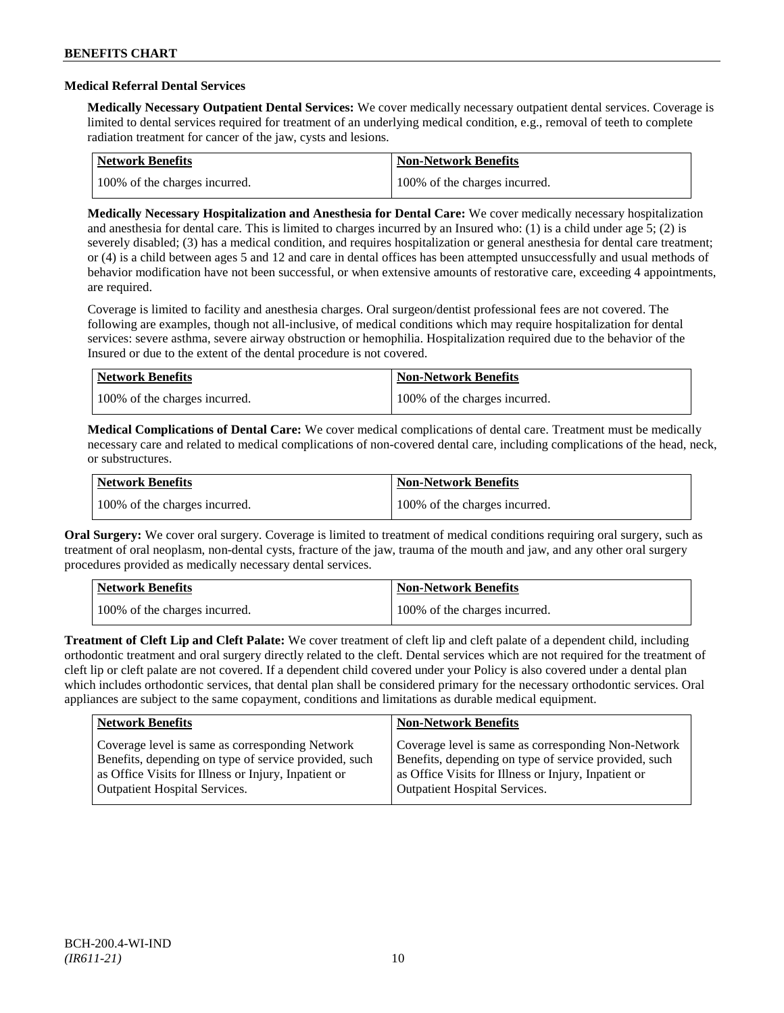### **Medical Referral Dental Services**

**Medically Necessary Outpatient Dental Services:** We cover medically necessary outpatient dental services. Coverage is limited to dental services required for treatment of an underlying medical condition, e.g., removal of teeth to complete radiation treatment for cancer of the jaw, cysts and lesions.

| Network Benefits              | Non-Network Benefits          |
|-------------------------------|-------------------------------|
| 100% of the charges incurred. | 100% of the charges incurred. |

**Medically Necessary Hospitalization and Anesthesia for Dental Care:** We cover medically necessary hospitalization and anesthesia for dental care. This is limited to charges incurred by an Insured who: (1) is a child under age 5; (2) is severely disabled; (3) has a medical condition, and requires hospitalization or general anesthesia for dental care treatment; or (4) is a child between ages 5 and 12 and care in dental offices has been attempted unsuccessfully and usual methods of behavior modification have not been successful, or when extensive amounts of restorative care, exceeding 4 appointments, are required.

Coverage is limited to facility and anesthesia charges. Oral surgeon/dentist professional fees are not covered. The following are examples, though not all-inclusive, of medical conditions which may require hospitalization for dental services: severe asthma, severe airway obstruction or hemophilia. Hospitalization required due to the behavior of the Insured or due to the extent of the dental procedure is not covered.

| Network Benefits              | <b>Non-Network Benefits</b>   |
|-------------------------------|-------------------------------|
| 100% of the charges incurred. | 100% of the charges incurred. |

**Medical Complications of Dental Care:** We cover medical complications of dental care. Treatment must be medically necessary care and related to medical complications of non-covered dental care, including complications of the head, neck, or substructures.

| Network Benefits              | <b>Non-Network Benefits</b>   |
|-------------------------------|-------------------------------|
| 100% of the charges incurred. | 100% of the charges incurred. |

**Oral Surgery:** We cover oral surgery. Coverage is limited to treatment of medical conditions requiring oral surgery, such as treatment of oral neoplasm, non-dental cysts, fracture of the jaw, trauma of the mouth and jaw, and any other oral surgery procedures provided as medically necessary dental services.

| Network Benefits              | <b>Non-Network Benefits</b>   |
|-------------------------------|-------------------------------|
| 100% of the charges incurred. | 100% of the charges incurred. |

**Treatment of Cleft Lip and Cleft Palate:** We cover treatment of cleft lip and cleft palate of a dependent child, including orthodontic treatment and oral surgery directly related to the cleft. Dental services which are not required for the treatment of cleft lip or cleft palate are not covered. If a dependent child covered under your Policy is also covered under a dental plan which includes orthodontic services, that dental plan shall be considered primary for the necessary orthodontic services. Oral appliances are subject to the same copayment, conditions and limitations as durable medical equipment.

| <b>Network Benefits</b>                               | <b>Non-Network Benefits</b>                           |
|-------------------------------------------------------|-------------------------------------------------------|
| Coverage level is same as corresponding Network       | Coverage level is same as corresponding Non-Network   |
| Benefits, depending on type of service provided, such | Benefits, depending on type of service provided, such |
| as Office Visits for Illness or Injury, Inpatient or  | as Office Visits for Illness or Injury, Inpatient or  |
| <b>Outpatient Hospital Services.</b>                  | Outpatient Hospital Services.                         |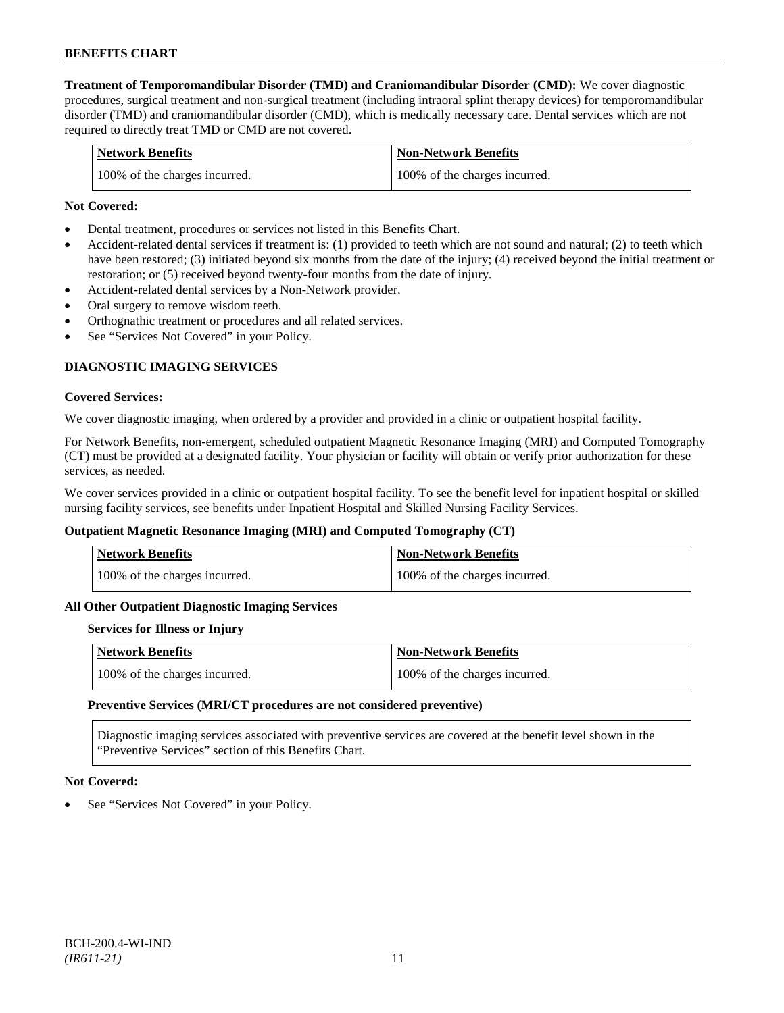**Treatment of Temporomandibular Disorder (TMD) and Craniomandibular Disorder (CMD):** We cover diagnostic procedures, surgical treatment and non-surgical treatment (including intraoral splint therapy devices) for temporomandibular disorder (TMD) and craniomandibular disorder (CMD), which is medically necessary care. Dental services which are not required to directly treat TMD or CMD are not covered.

| <b>Network Benefits</b>       | <b>Non-Network Benefits</b>   |
|-------------------------------|-------------------------------|
| 100% of the charges incurred. | 100% of the charges incurred. |

### **Not Covered:**

- Dental treatment, procedures or services not listed in this Benefits Chart.
- Accident-related dental services if treatment is: (1) provided to teeth which are not sound and natural; (2) to teeth which have been restored; (3) initiated beyond six months from the date of the injury; (4) received beyond the initial treatment or restoration; or (5) received beyond twenty-four months from the date of injury.
- Accident-related dental services by a Non-Network provider.
- Oral surgery to remove wisdom teeth.
- Orthognathic treatment or procedures and all related services.
- See "Services Not Covered" in your Policy.

## **DIAGNOSTIC IMAGING SERVICES**

#### **Covered Services:**

We cover diagnostic imaging, when ordered by a provider and provided in a clinic or outpatient hospital facility.

For Network Benefits, non-emergent, scheduled outpatient Magnetic Resonance Imaging (MRI) and Computed Tomography (CT) must be provided at a designated facility. Your physician or facility will obtain or verify prior authorization for these services, as needed.

We cover services provided in a clinic or outpatient hospital facility. To see the benefit level for inpatient hospital or skilled nursing facility services, see benefits under Inpatient Hospital and Skilled Nursing Facility Services.

#### **Outpatient Magnetic Resonance Imaging (MRI) and Computed Tomography (CT)**

| <b>Network Benefits</b>       | <b>Non-Network Benefits</b>   |
|-------------------------------|-------------------------------|
| 100% of the charges incurred. | 100% of the charges incurred. |

#### **All Other Outpatient Diagnostic Imaging Services**

### **Services for Illness or Injury**

| Network Benefits              | <b>Non-Network Benefits</b>   |
|-------------------------------|-------------------------------|
| 100% of the charges incurred. | 100% of the charges incurred. |

#### **Preventive Services (MRI/CT procedures are not considered preventive)**

Diagnostic imaging services associated with preventive services are covered at the benefit level shown in the "Preventive Services" section of this Benefits Chart.

#### **Not Covered:**

See "Services Not Covered" in your Policy.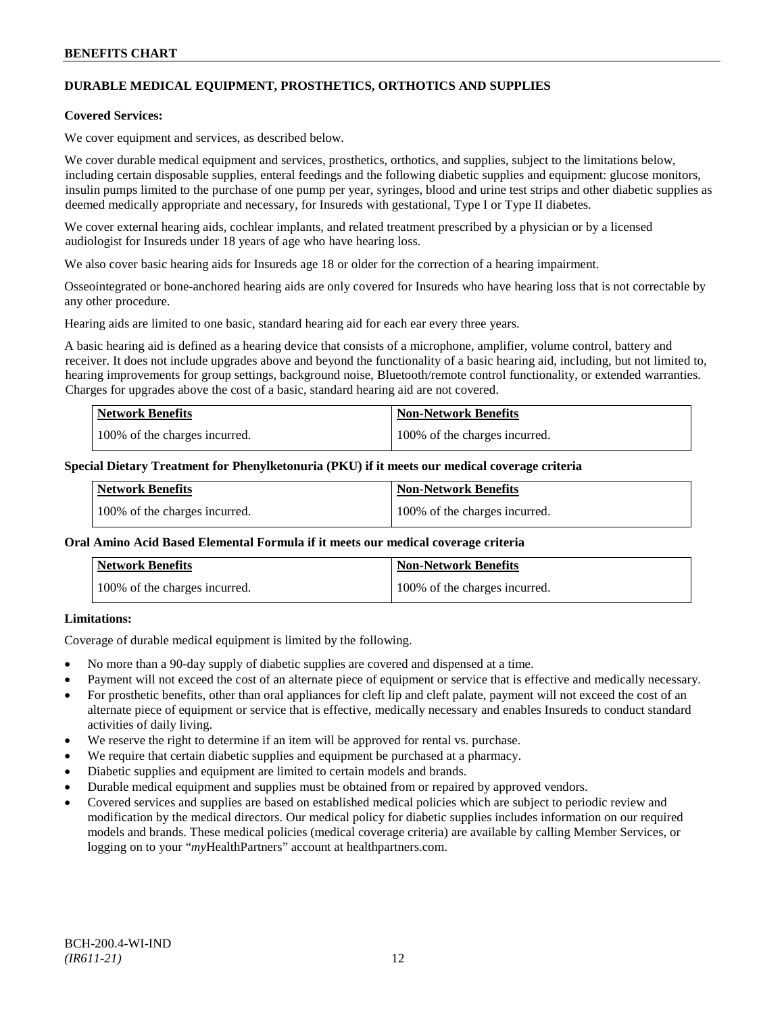## **DURABLE MEDICAL EQUIPMENT, PROSTHETICS, ORTHOTICS AND SUPPLIES**

### **Covered Services:**

We cover equipment and services, as described below.

We cover durable medical equipment and services, prosthetics, orthotics, and supplies, subject to the limitations below, including certain disposable supplies, enteral feedings and the following diabetic supplies and equipment: glucose monitors, insulin pumps limited to the purchase of one pump per year, syringes, blood and urine test strips and other diabetic supplies as deemed medically appropriate and necessary, for Insureds with gestational, Type I or Type II diabetes.

We cover external hearing aids, cochlear implants, and related treatment prescribed by a physician or by a licensed audiologist for Insureds under 18 years of age who have hearing loss.

We also cover basic hearing aids for Insureds age 18 or older for the correction of a hearing impairment.

Osseointegrated or bone-anchored hearing aids are only covered for Insureds who have hearing loss that is not correctable by any other procedure.

Hearing aids are limited to one basic, standard hearing aid for each ear every three years.

A basic hearing aid is defined as a hearing device that consists of a microphone, amplifier, volume control, battery and receiver. It does not include upgrades above and beyond the functionality of a basic hearing aid, including, but not limited to, hearing improvements for group settings, background noise, Bluetooth/remote control functionality, or extended warranties. Charges for upgrades above the cost of a basic, standard hearing aid are not covered.

| <b>Network Benefits</b>       | <b>Non-Network Benefits</b>   |
|-------------------------------|-------------------------------|
| 100% of the charges incurred. | 100% of the charges incurred. |

#### **Special Dietary Treatment for Phenylketonuria (PKU) if it meets our medical coverage criteria**

| <b>Network Benefits</b>       | <b>Non-Network Benefits</b>   |
|-------------------------------|-------------------------------|
| 100% of the charges incurred. | 100% of the charges incurred. |

#### **Oral Amino Acid Based Elemental Formula if it meets our medical coverage criteria**

| <b>Network Benefits</b>       | <b>Non-Network Benefits</b>   |
|-------------------------------|-------------------------------|
| 100% of the charges incurred. | 100% of the charges incurred. |

## **Limitations:**

Coverage of durable medical equipment is limited by the following.

- No more than a 90-day supply of diabetic supplies are covered and dispensed at a time.
- Payment will not exceed the cost of an alternate piece of equipment or service that is effective and medically necessary.
- For prosthetic benefits, other than oral appliances for cleft lip and cleft palate, payment will not exceed the cost of an alternate piece of equipment or service that is effective, medically necessary and enables Insureds to conduct standard activities of daily living.
- We reserve the right to determine if an item will be approved for rental vs. purchase.
- We require that certain diabetic supplies and equipment be purchased at a pharmacy.
- Diabetic supplies and equipment are limited to certain models and brands.
- Durable medical equipment and supplies must be obtained from or repaired by approved vendors.
- Covered services and supplies are based on established medical policies which are subject to periodic review and modification by the medical directors. Our medical policy for diabetic supplies includes information on our required models and brands. These medical policies (medical coverage criteria) are available by calling Member Services, or logging on to your "*my*HealthPartners" account at [healthpartners.com.](http://www.healthpartners.com/)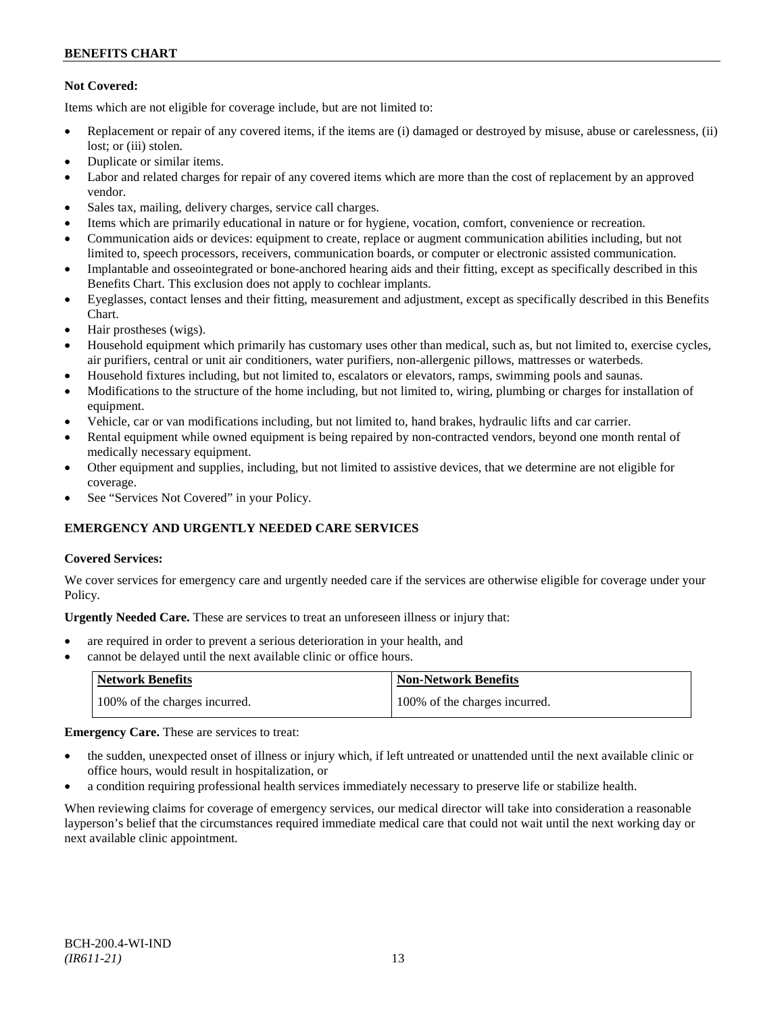## **Not Covered:**

Items which are not eligible for coverage include, but are not limited to:

- Replacement or repair of any covered items, if the items are (i) damaged or destroyed by misuse, abuse or carelessness, (ii) lost; or (iii) stolen.
- Duplicate or similar items.
- Labor and related charges for repair of any covered items which are more than the cost of replacement by an approved vendor.
- Sales tax, mailing, delivery charges, service call charges.
- Items which are primarily educational in nature or for hygiene, vocation, comfort, convenience or recreation.
- Communication aids or devices: equipment to create, replace or augment communication abilities including, but not limited to, speech processors, receivers, communication boards, or computer or electronic assisted communication.
- Implantable and osseointegrated or bone-anchored hearing aids and their fitting, except as specifically described in this Benefits Chart. This exclusion does not apply to cochlear implants.
- Eyeglasses, contact lenses and their fitting, measurement and adjustment, except as specifically described in this Benefits Chart.
- Hair prostheses (wigs).
- Household equipment which primarily has customary uses other than medical, such as, but not limited to, exercise cycles, air purifiers, central or unit air conditioners, water purifiers, non-allergenic pillows, mattresses or waterbeds.
- Household fixtures including, but not limited to, escalators or elevators, ramps, swimming pools and saunas.
- Modifications to the structure of the home including, but not limited to, wiring, plumbing or charges for installation of equipment.
- Vehicle, car or van modifications including, but not limited to, hand brakes, hydraulic lifts and car carrier.
- Rental equipment while owned equipment is being repaired by non-contracted vendors, beyond one month rental of medically necessary equipment.
- Other equipment and supplies, including, but not limited to assistive devices, that we determine are not eligible for coverage.
- See "Services Not Covered" in your Policy.

## **EMERGENCY AND URGENTLY NEEDED CARE SERVICES**

## **Covered Services:**

We cover services for emergency care and urgently needed care if the services are otherwise eligible for coverage under your Policy.

**Urgently Needed Care.** These are services to treat an unforeseen illness or injury that:

- are required in order to prevent a serious deterioration in your health, and
- cannot be delayed until the next available clinic or office hours.

| Network Benefits              | <b>Non-Network Benefits</b>   |
|-------------------------------|-------------------------------|
| 100% of the charges incurred. | 100% of the charges incurred. |

**Emergency Care.** These are services to treat:

- the sudden, unexpected onset of illness or injury which, if left untreated or unattended until the next available clinic or office hours, would result in hospitalization, or
- a condition requiring professional health services immediately necessary to preserve life or stabilize health.

When reviewing claims for coverage of emergency services, our medical director will take into consideration a reasonable layperson's belief that the circumstances required immediate medical care that could not wait until the next working day or next available clinic appointment.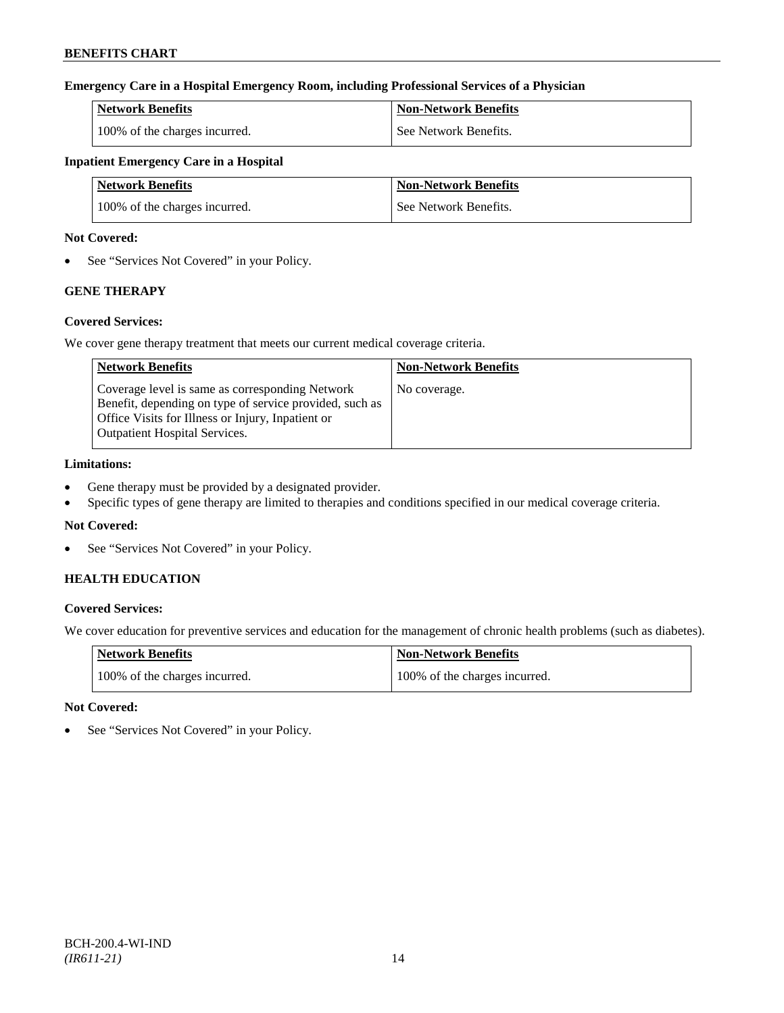## **Emergency Care in a Hospital Emergency Room, including Professional Services of a Physician**

| <b>Network Benefits</b>       | Non-Network Benefits  |
|-------------------------------|-----------------------|
| 100% of the charges incurred. | See Network Benefits. |

## **Inpatient Emergency Care in a Hospital**

| <b>Network Benefits</b>       | <b>Non-Network Benefits</b> |
|-------------------------------|-----------------------------|
| 100% of the charges incurred. | See Network Benefits.       |

### **Not Covered:**

• See "Services Not Covered" in your Policy.

## **GENE THERAPY**

## **Covered Services:**

We cover gene therapy treatment that meets our current medical coverage criteria.

| <b>Network Benefits</b>                                                                                                                                                                                 | <b>Non-Network Benefits</b> |
|---------------------------------------------------------------------------------------------------------------------------------------------------------------------------------------------------------|-----------------------------|
| Coverage level is same as corresponding Network<br>Benefit, depending on type of service provided, such as<br>Office Visits for Illness or Injury, Inpatient or<br><b>Outpatient Hospital Services.</b> | No coverage.                |

## **Limitations:**

- Gene therapy must be provided by a designated provider.
- Specific types of gene therapy are limited to therapies and conditions specified in our medical coverage criteria.

## **Not Covered:**

• See "Services Not Covered" in your Policy.

## **HEALTH EDUCATION**

## **Covered Services:**

We cover education for preventive services and education for the management of chronic health problems (such as diabetes).

| <b>Network Benefits</b>       | Non-Network Benefits          |
|-------------------------------|-------------------------------|
| 100% of the charges incurred. | 100% of the charges incurred. |

## **Not Covered:**

See "Services Not Covered" in your Policy.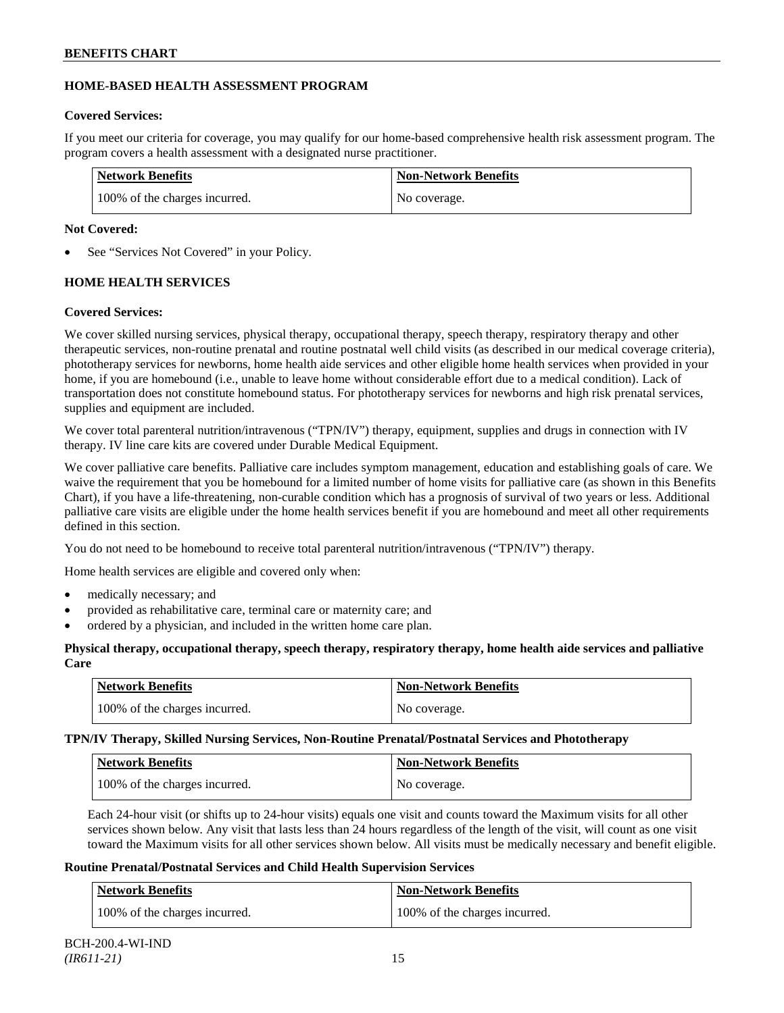## **HOME-BASED HEALTH ASSESSMENT PROGRAM**

## **Covered Services:**

If you meet our criteria for coverage, you may qualify for our home-based comprehensive health risk assessment program. The program covers a health assessment with a designated nurse practitioner.

| <b>Network Benefits</b>       | <b>Non-Network Benefits</b> |
|-------------------------------|-----------------------------|
| 100% of the charges incurred. | No coverage.                |

## **Not Covered:**

See "Services Not Covered" in your Policy.

## **HOME HEALTH SERVICES**

## **Covered Services:**

We cover skilled nursing services, physical therapy, occupational therapy, speech therapy, respiratory therapy and other therapeutic services, non-routine prenatal and routine postnatal well child visits (as described in our medical coverage criteria), phototherapy services for newborns, home health aide services and other eligible home health services when provided in your home, if you are homebound (i.e., unable to leave home without considerable effort due to a medical condition). Lack of transportation does not constitute homebound status. For phototherapy services for newborns and high risk prenatal services, supplies and equipment are included.

We cover total parenteral nutrition/intravenous ("TPN/IV") therapy, equipment, supplies and drugs in connection with IV therapy. IV line care kits are covered under Durable Medical Equipment.

We cover palliative care benefits. Palliative care includes symptom management, education and establishing goals of care. We waive the requirement that you be homebound for a limited number of home visits for palliative care (as shown in this Benefits Chart), if you have a life-threatening, non-curable condition which has a prognosis of survival of two years or less. Additional palliative care visits are eligible under the home health services benefit if you are homebound and meet all other requirements defined in this section.

You do not need to be homebound to receive total parenteral nutrition/intravenous ("TPN/IV") therapy.

Home health services are eligible and covered only when:

- medically necessary; and
- provided as rehabilitative care, terminal care or maternity care; and
- ordered by a physician, and included in the written home care plan.

## **Physical therapy, occupational therapy, speech therapy, respiratory therapy, home health aide services and palliative Care**

| Network Benefits              | <b>Non-Network Benefits</b> |
|-------------------------------|-----------------------------|
| 100% of the charges incurred. | No coverage.                |

**TPN/IV Therapy, Skilled Nursing Services, Non-Routine Prenatal/Postnatal Services and Phototherapy**

| <b>Network Benefits</b>       | <b>Non-Network Benefits</b> |
|-------------------------------|-----------------------------|
| 100% of the charges incurred. | No coverage.                |

Each 24-hour visit (or shifts up to 24-hour visits) equals one visit and counts toward the Maximum visits for all other services shown below. Any visit that lasts less than 24 hours regardless of the length of the visit, will count as one visit toward the Maximum visits for all other services shown below. All visits must be medically necessary and benefit eligible.

## **Routine Prenatal/Postnatal Services and Child Health Supervision Services**

| <b>Network Benefits</b>       | <b>Non-Network Benefits</b>   |
|-------------------------------|-------------------------------|
| 100% of the charges incurred. | 100% of the charges incurred. |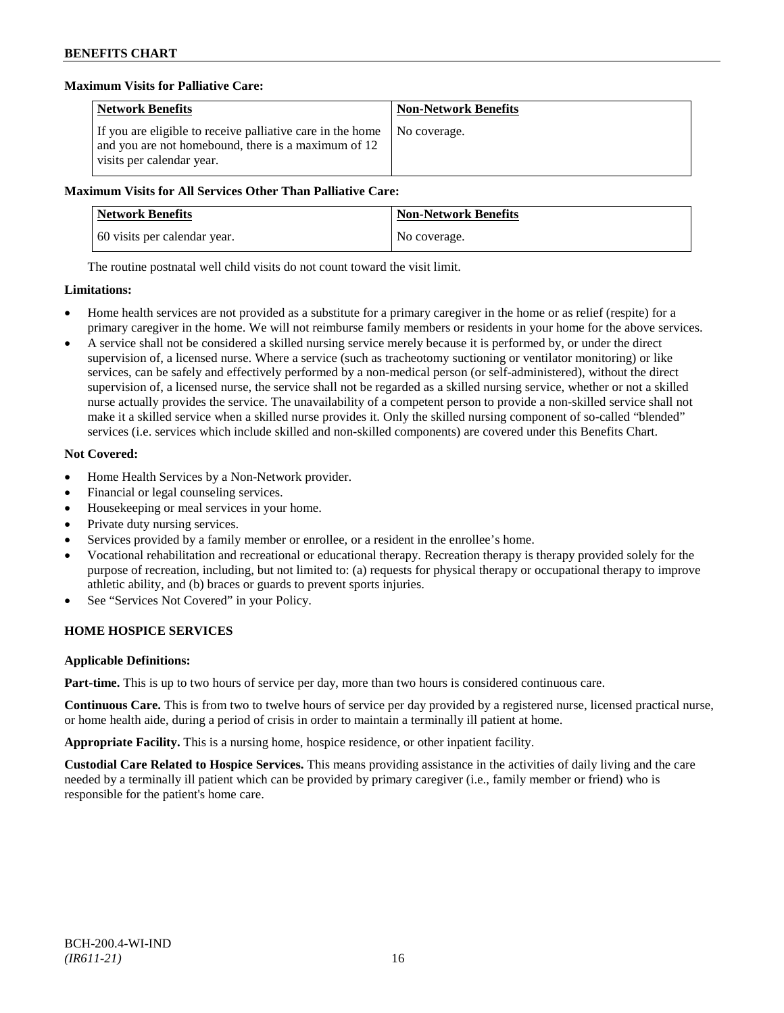### **Maximum Visits for Palliative Care:**

| <b>Network Benefits</b>                                                                                                                        | <b>Non-Network Benefits</b> |
|------------------------------------------------------------------------------------------------------------------------------------------------|-----------------------------|
| If you are eligible to receive palliative care in the home<br>and you are not homebound, there is a maximum of 12<br>visits per calendar year. | No coverage.                |

### **Maximum Visits for All Services Other Than Palliative Care:**

| <b>Network Benefits</b>      | <b>Non-Network Benefits</b> |
|------------------------------|-----------------------------|
| 60 visits per calendar year. | No coverage.                |

The routine postnatal well child visits do not count toward the visit limit.

### **Limitations:**

- Home health services are not provided as a substitute for a primary caregiver in the home or as relief (respite) for a primary caregiver in the home. We will not reimburse family members or residents in your home for the above services.
- A service shall not be considered a skilled nursing service merely because it is performed by, or under the direct supervision of, a licensed nurse. Where a service (such as tracheotomy suctioning or ventilator monitoring) or like services, can be safely and effectively performed by a non-medical person (or self-administered), without the direct supervision of, a licensed nurse, the service shall not be regarded as a skilled nursing service, whether or not a skilled nurse actually provides the service. The unavailability of a competent person to provide a non-skilled service shall not make it a skilled service when a skilled nurse provides it. Only the skilled nursing component of so-called "blended" services (i.e. services which include skilled and non-skilled components) are covered under this Benefits Chart.

## **Not Covered:**

- Home Health Services by a Non-Network provider.
- Financial or legal counseling services.
- Housekeeping or meal services in your home.
- Private duty nursing services.
- Services provided by a family member or enrollee, or a resident in the enrollee's home.
- Vocational rehabilitation and recreational or educational therapy. Recreation therapy is therapy provided solely for the purpose of recreation, including, but not limited to: (a) requests for physical therapy or occupational therapy to improve athletic ability, and (b) braces or guards to prevent sports injuries.
- See "Services Not Covered" in your Policy.

## **HOME HOSPICE SERVICES**

## **Applicable Definitions:**

**Part-time.** This is up to two hours of service per day, more than two hours is considered continuous care.

**Continuous Care.** This is from two to twelve hours of service per day provided by a registered nurse, licensed practical nurse, or home health aide, during a period of crisis in order to maintain a terminally ill patient at home.

**Appropriate Facility.** This is a nursing home, hospice residence, or other inpatient facility.

**Custodial Care Related to Hospice Services.** This means providing assistance in the activities of daily living and the care needed by a terminally ill patient which can be provided by primary caregiver (i.e., family member or friend) who is responsible for the patient's home care.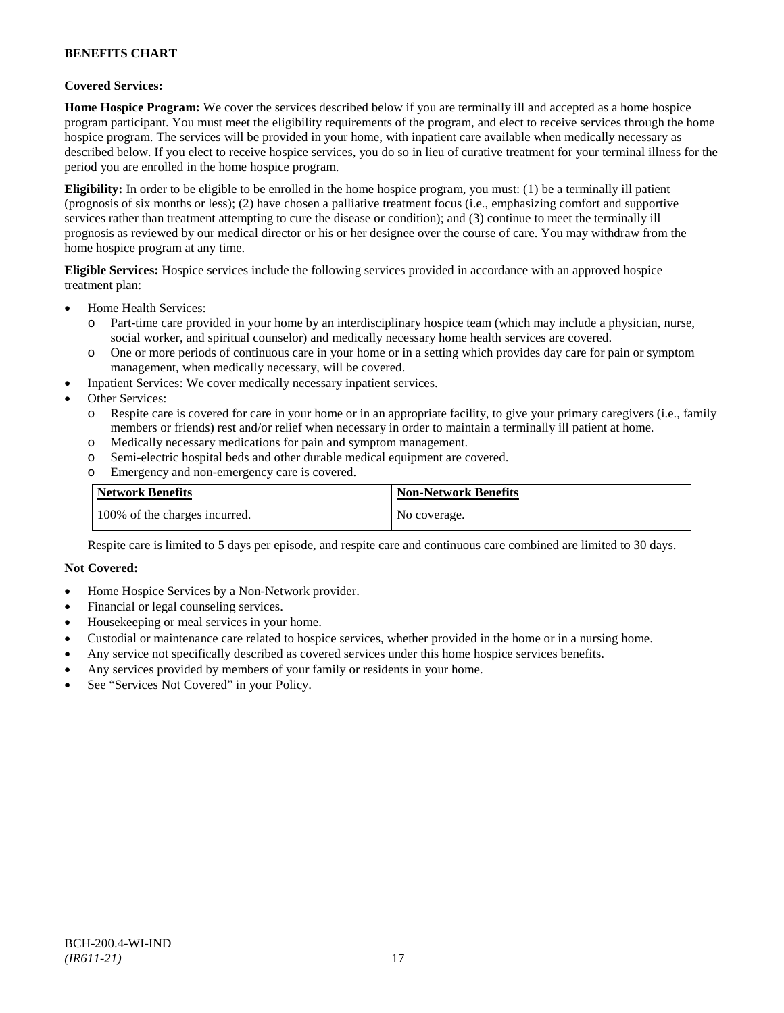### **Covered Services:**

**Home Hospice Program:** We cover the services described below if you are terminally ill and accepted as a home hospice program participant. You must meet the eligibility requirements of the program, and elect to receive services through the home hospice program. The services will be provided in your home, with inpatient care available when medically necessary as described below. If you elect to receive hospice services, you do so in lieu of curative treatment for your terminal illness for the period you are enrolled in the home hospice program.

**Eligibility:** In order to be eligible to be enrolled in the home hospice program, you must: (1) be a terminally ill patient (prognosis of six months or less); (2) have chosen a palliative treatment focus (i.e., emphasizing comfort and supportive services rather than treatment attempting to cure the disease or condition); and (3) continue to meet the terminally ill prognosis as reviewed by our medical director or his or her designee over the course of care. You may withdraw from the home hospice program at any time.

**Eligible Services:** Hospice services include the following services provided in accordance with an approved hospice treatment plan:

- Home Health Services:
	- o Part-time care provided in your home by an interdisciplinary hospice team (which may include a physician, nurse, social worker, and spiritual counselor) and medically necessary home health services are covered.
	- o One or more periods of continuous care in your home or in a setting which provides day care for pain or symptom management, when medically necessary, will be covered.
- Inpatient Services: We cover medically necessary inpatient services.
- Other Services:
	- o Respite care is covered for care in your home or in an appropriate facility, to give your primary caregivers (i.e., family members or friends) rest and/or relief when necessary in order to maintain a terminally ill patient at home*.*
	- o Medically necessary medications for pain and symptom management.
	- o Semi-electric hospital beds and other durable medical equipment are covered.
	- o Emergency and non-emergency care is covered.

| Network Benefits              | <b>Non-Network Benefits</b> |
|-------------------------------|-----------------------------|
| 100% of the charges incurred. | No coverage.                |

Respite care is limited to 5 days per episode, and respite care and continuous care combined are limited to 30 days.

### **Not Covered:**

- Home Hospice Services by a Non-Network provider.
- Financial or legal counseling services.
- Housekeeping or meal services in your home.
- Custodial or maintenance care related to hospice services, whether provided in the home or in a nursing home.
- Any service not specifically described as covered services under this home hospice services benefits.
- Any services provided by members of your family or residents in your home.
- See "Services Not Covered" in your Policy.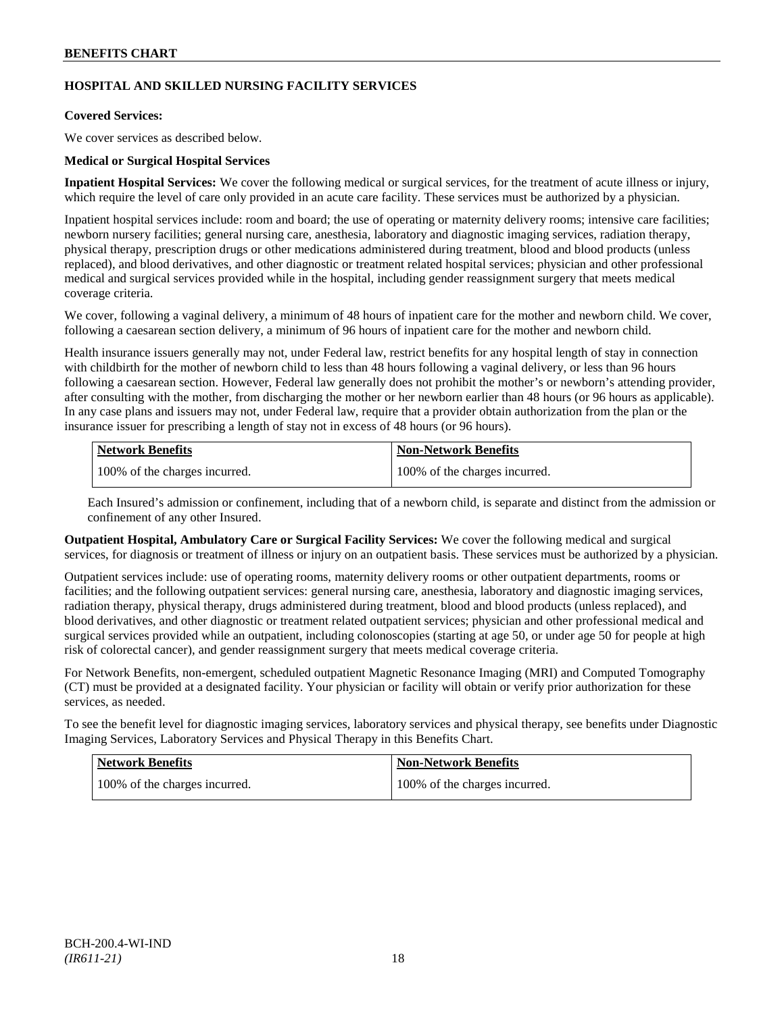## **HOSPITAL AND SKILLED NURSING FACILITY SERVICES**

## **Covered Services:**

We cover services as described below.

## **Medical or Surgical Hospital Services**

**Inpatient Hospital Services:** We cover the following medical or surgical services, for the treatment of acute illness or injury, which require the level of care only provided in an acute care facility. These services must be authorized by a physician.

Inpatient hospital services include: room and board; the use of operating or maternity delivery rooms; intensive care facilities; newborn nursery facilities; general nursing care, anesthesia, laboratory and diagnostic imaging services, radiation therapy, physical therapy, prescription drugs or other medications administered during treatment, blood and blood products (unless replaced), and blood derivatives, and other diagnostic or treatment related hospital services; physician and other professional medical and surgical services provided while in the hospital, including gender reassignment surgery that meets medical coverage criteria.

We cover, following a vaginal delivery, a minimum of 48 hours of inpatient care for the mother and newborn child. We cover, following a caesarean section delivery, a minimum of 96 hours of inpatient care for the mother and newborn child.

Health insurance issuers generally may not, under Federal law, restrict benefits for any hospital length of stay in connection with childbirth for the mother of newborn child to less than 48 hours following a vaginal delivery, or less than 96 hours following a caesarean section. However, Federal law generally does not prohibit the mother's or newborn's attending provider, after consulting with the mother, from discharging the mother or her newborn earlier than 48 hours (or 96 hours as applicable). In any case plans and issuers may not, under Federal law, require that a provider obtain authorization from the plan or the insurance issuer for prescribing a length of stay not in excess of 48 hours (or 96 hours).

| Network Benefits              | <b>Non-Network Benefits</b>   |
|-------------------------------|-------------------------------|
| 100% of the charges incurred. | 100% of the charges incurred. |

Each Insured's admission or confinement, including that of a newborn child, is separate and distinct from the admission or confinement of any other Insured.

**Outpatient Hospital, Ambulatory Care or Surgical Facility Services:** We cover the following medical and surgical services, for diagnosis or treatment of illness or injury on an outpatient basis. These services must be authorized by a physician.

Outpatient services include: use of operating rooms, maternity delivery rooms or other outpatient departments, rooms or facilities; and the following outpatient services: general nursing care, anesthesia, laboratory and diagnostic imaging services, radiation therapy, physical therapy, drugs administered during treatment, blood and blood products (unless replaced), and blood derivatives, and other diagnostic or treatment related outpatient services; physician and other professional medical and surgical services provided while an outpatient, including colonoscopies (starting at age 50, or under age 50 for people at high risk of colorectal cancer), and gender reassignment surgery that meets medical coverage criteria.

For Network Benefits, non-emergent, scheduled outpatient Magnetic Resonance Imaging (MRI) and Computed Tomography (CT) must be provided at a designated facility. Your physician or facility will obtain or verify prior authorization for these services, as needed.

To see the benefit level for diagnostic imaging services, laboratory services and physical therapy, see benefits under Diagnostic Imaging Services, Laboratory Services and Physical Therapy in this Benefits Chart.

| Network Benefits              | Non-Network Benefits          |
|-------------------------------|-------------------------------|
| 100% of the charges incurred. | 100% of the charges incurred. |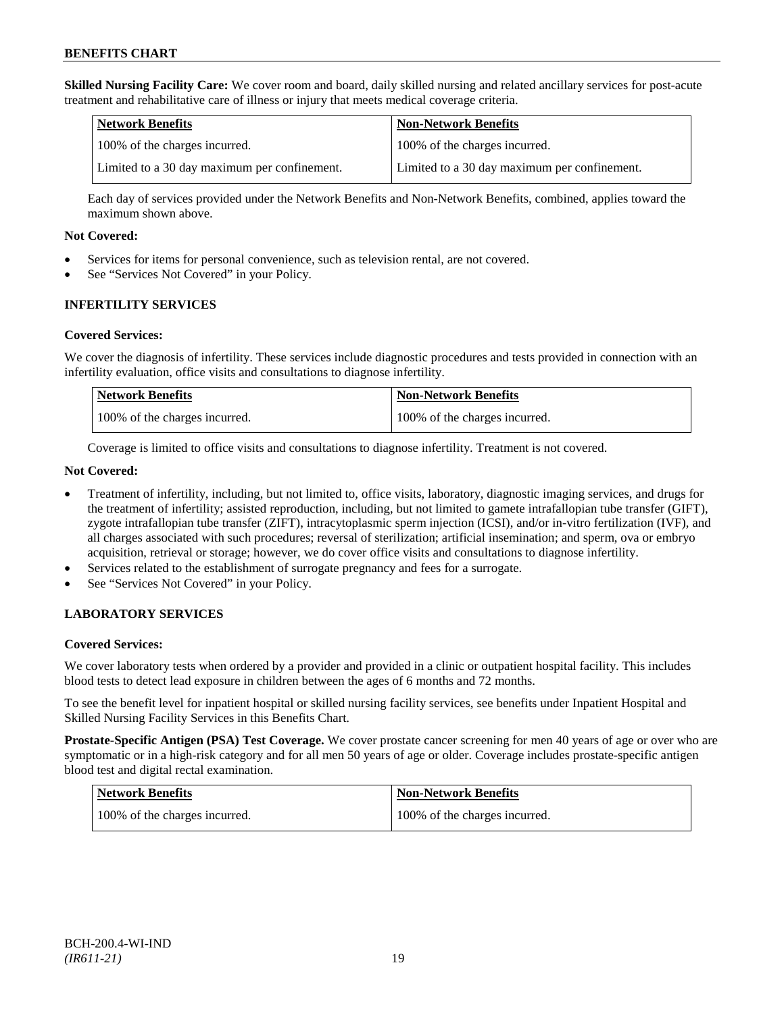**Skilled Nursing Facility Care:** We cover room and board, daily skilled nursing and related ancillary services for post-acute treatment and rehabilitative care of illness or injury that meets medical coverage criteria.

| Network Benefits                             | <b>Non-Network Benefits</b>                  |
|----------------------------------------------|----------------------------------------------|
| 100% of the charges incurred.                | 100% of the charges incurred.                |
| Limited to a 30 day maximum per confinement. | Limited to a 30 day maximum per confinement. |

Each day of services provided under the Network Benefits and Non-Network Benefits, combined, applies toward the maximum shown above.

### **Not Covered:**

- Services for items for personal convenience, such as television rental, are not covered.
- See "Services Not Covered" in your Policy.

## **INFERTILITY SERVICES**

### **Covered Services:**

We cover the diagnosis of infertility. These services include diagnostic procedures and tests provided in connection with an infertility evaluation, office visits and consultations to diagnose infertility.

| <b>Network Benefits</b>       | Non-Network Benefits          |
|-------------------------------|-------------------------------|
| 100% of the charges incurred. | 100% of the charges incurred. |

Coverage is limited to office visits and consultations to diagnose infertility. Treatment is not covered.

### **Not Covered:**

- Treatment of infertility, including, but not limited to, office visits, laboratory, diagnostic imaging services, and drugs for the treatment of infertility; assisted reproduction, including, but not limited to gamete intrafallopian tube transfer (GIFT), zygote intrafallopian tube transfer (ZIFT), intracytoplasmic sperm injection (ICSI), and/or in-vitro fertilization (IVF), and all charges associated with such procedures; reversal of sterilization; artificial insemination; and sperm, ova or embryo acquisition, retrieval or storage; however, we do cover office visits and consultations to diagnose infertility.
- Services related to the establishment of surrogate pregnancy and fees for a surrogate.
- See "Services Not Covered" in your Policy.

## **LABORATORY SERVICES**

#### **Covered Services:**

We cover laboratory tests when ordered by a provider and provided in a clinic or outpatient hospital facility. This includes blood tests to detect lead exposure in children between the ages of 6 months and 72 months.

To see the benefit level for inpatient hospital or skilled nursing facility services, see benefits under Inpatient Hospital and Skilled Nursing Facility Services in this Benefits Chart.

**Prostate-Specific Antigen (PSA) Test Coverage.** We cover prostate cancer screening for men 40 years of age or over who are symptomatic or in a high-risk category and for all men 50 years of age or older. Coverage includes prostate-specific antigen blood test and digital rectal examination.

| Network Benefits              | Non-Network Benefits          |
|-------------------------------|-------------------------------|
| 100% of the charges incurred. | 100% of the charges incurred. |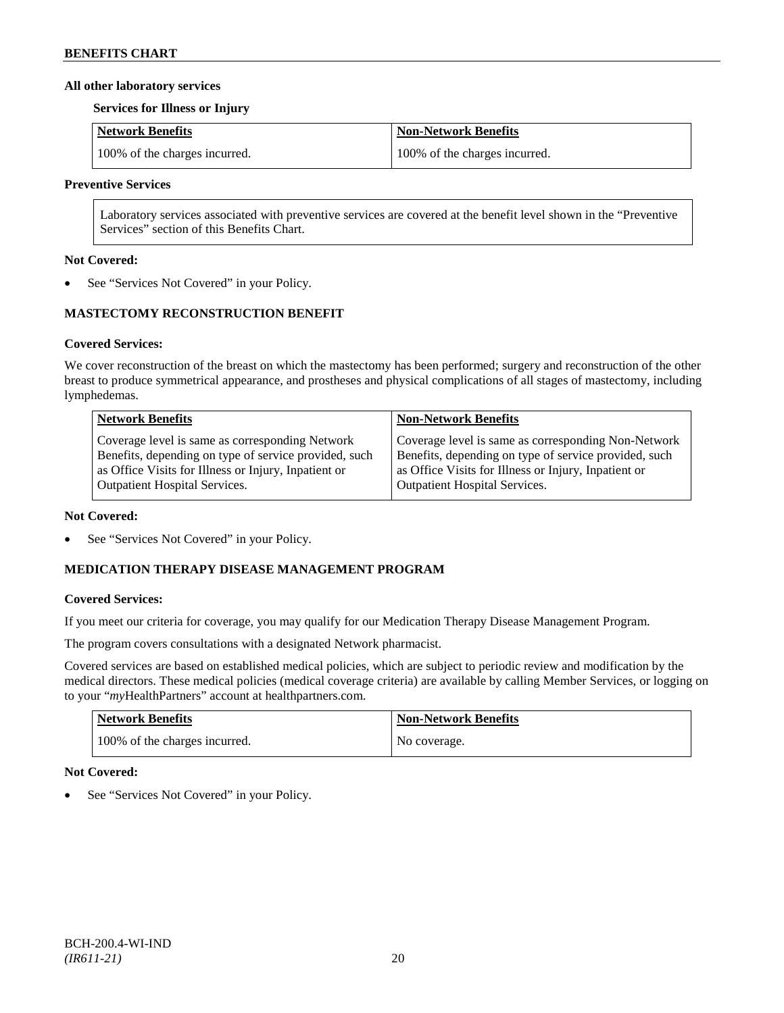### **All other laboratory services**

### **Services for Illness or Injury**

| Network Benefits              | Non-Network Benefits          |
|-------------------------------|-------------------------------|
| 100% of the charges incurred. | 100% of the charges incurred. |

### **Preventive Services**

Laboratory services associated with preventive services are covered at the benefit level shown in the "Preventive Services" section of this Benefits Chart.

### **Not Covered:**

See "Services Not Covered" in your Policy.

## **MASTECTOMY RECONSTRUCTION BENEFIT**

## **Covered Services:**

We cover reconstruction of the breast on which the mastectomy has been performed; surgery and reconstruction of the other breast to produce symmetrical appearance, and prostheses and physical complications of all stages of mastectomy, including lymphedemas.

| <b>Network Benefits</b>                               | <b>Non-Network Benefits</b>                           |
|-------------------------------------------------------|-------------------------------------------------------|
| Coverage level is same as corresponding Network       | Coverage level is same as corresponding Non-Network   |
| Benefits, depending on type of service provided, such | Benefits, depending on type of service provided, such |
| as Office Visits for Illness or Injury, Inpatient or  | as Office Visits for Illness or Injury, Inpatient or  |
| <b>Outpatient Hospital Services.</b>                  | <b>Outpatient Hospital Services.</b>                  |

#### **Not Covered:**

See "Services Not Covered" in your Policy.

## **MEDICATION THERAPY DISEASE MANAGEMENT PROGRAM**

## **Covered Services:**

If you meet our criteria for coverage, you may qualify for our Medication Therapy Disease Management Program.

The program covers consultations with a designated Network pharmacist.

Covered services are based on established medical policies, which are subject to periodic review and modification by the medical directors. These medical policies (medical coverage criteria) are available by calling Member Services, or logging on to your "*my*HealthPartners" account at [healthpartners.com.](http://www.healthpartners.com/)

| <b>Network Benefits</b>       | <b>Non-Network Benefits</b> |
|-------------------------------|-----------------------------|
| 100% of the charges incurred. | No coverage.                |

## **Not Covered:**

See "Services Not Covered" in your Policy.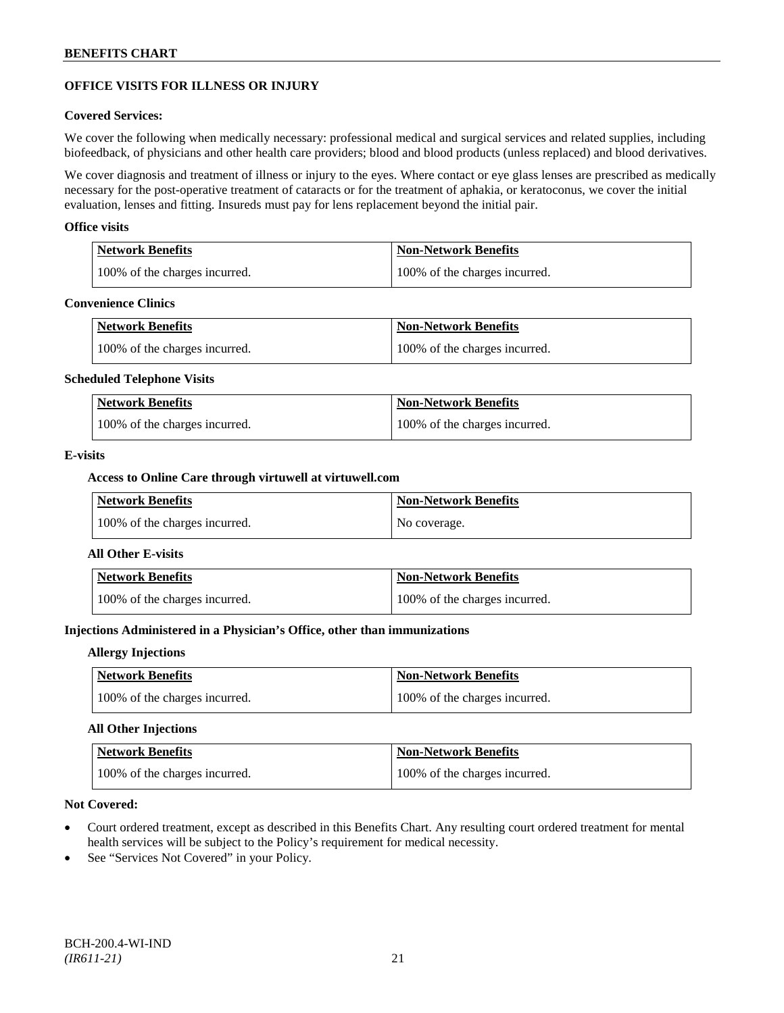## **OFFICE VISITS FOR ILLNESS OR INJURY**

### **Covered Services:**

We cover the following when medically necessary: professional medical and surgical services and related supplies, including biofeedback, of physicians and other health care providers; blood and blood products (unless replaced) and blood derivatives.

We cover diagnosis and treatment of illness or injury to the eyes. Where contact or eye glass lenses are prescribed as medically necessary for the post-operative treatment of cataracts or for the treatment of aphakia, or keratoconus, we cover the initial evaluation, lenses and fitting. Insureds must pay for lens replacement beyond the initial pair.

### **Office visits**

| Network Benefits              | <b>Non-Network Benefits</b>   |
|-------------------------------|-------------------------------|
| 100% of the charges incurred. | 100% of the charges incurred. |

#### **Convenience Clinics**

| <b>Network Benefits</b>       | <b>Non-Network Benefits</b>   |
|-------------------------------|-------------------------------|
| 100% of the charges incurred. | 100% of the charges incurred. |

#### **Scheduled Telephone Visits**

| <b>Network Benefits</b>       | <b>Non-Network Benefits</b>   |
|-------------------------------|-------------------------------|
| 100% of the charges incurred. | 100% of the charges incurred. |

### **E-visits**

### **Access to Online Care through virtuwell a[t virtuwell.com](http://www.virtuwell.com/)**

| <b>Network Benefits</b>       | <b>Non-Network Benefits</b> |
|-------------------------------|-----------------------------|
| 100% of the charges incurred. | No coverage.                |

#### **All Other E-visits**

| <b>Network Benefits</b>       | Non-Network Benefits          |
|-------------------------------|-------------------------------|
| 100% of the charges incurred. | 100% of the charges incurred. |

## **Injections Administered in a Physician's Office, other than immunizations**

#### **Allergy Injections**

| Network Benefits              | <b>Non-Network Benefits</b>   |
|-------------------------------|-------------------------------|
| 100% of the charges incurred. | 100% of the charges incurred. |

## **All Other Injections**

| Network Benefits              | <b>Non-Network Benefits</b>   |
|-------------------------------|-------------------------------|
| 100% of the charges incurred. | 100% of the charges incurred. |

### **Not Covered:**

- Court ordered treatment, except as described in this Benefits Chart. Any resulting court ordered treatment for mental health services will be subject to the Policy's requirement for medical necessity.
- See "Services Not Covered" in your Policy.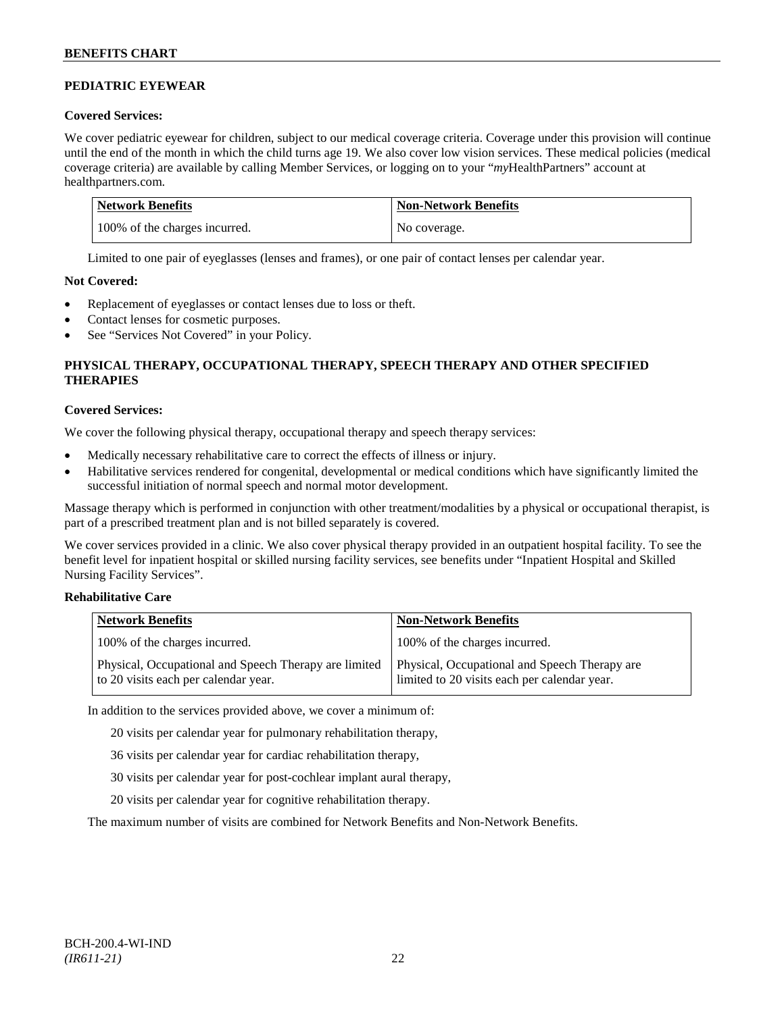## **PEDIATRIC EYEWEAR**

## **Covered Services:**

We cover pediatric eyewear for children, subject to our medical coverage criteria. Coverage under this provision will continue until the end of the month in which the child turns age 19. We also cover low vision services. These medical policies (medical coverage criteria) are available by calling Member Services, or logging on to your "*my*HealthPartners" account at [healthpartners.com.](http://www.healthpartners.com/)

| Network Benefits              | <b>Non-Network Benefits</b> |
|-------------------------------|-----------------------------|
| 100% of the charges incurred. | No coverage.                |

Limited to one pair of eyeglasses (lenses and frames), or one pair of contact lenses per calendar year.

## **Not Covered:**

- Replacement of eyeglasses or contact lenses due to loss or theft.
- Contact lenses for cosmetic purposes.
- See "Services Not Covered" in your Policy.

## **PHYSICAL THERAPY, OCCUPATIONAL THERAPY, SPEECH THERAPY AND OTHER SPECIFIED THERAPIES**

## **Covered Services:**

We cover the following physical therapy, occupational therapy and speech therapy services:

- Medically necessary rehabilitative care to correct the effects of illness or injury.
- Habilitative services rendered for congenital, developmental or medical conditions which have significantly limited the successful initiation of normal speech and normal motor development.

Massage therapy which is performed in conjunction with other treatment/modalities by a physical or occupational therapist, is part of a prescribed treatment plan and is not billed separately is covered.

We cover services provided in a clinic. We also cover physical therapy provided in an outpatient hospital facility. To see the benefit level for inpatient hospital or skilled nursing facility services, see benefits under "Inpatient Hospital and Skilled Nursing Facility Services".

## **Rehabilitative Care**

| <b>Network Benefits</b>                                                                       | <b>Non-Network Benefits</b>                                                                   |
|-----------------------------------------------------------------------------------------------|-----------------------------------------------------------------------------------------------|
| 100% of the charges incurred.                                                                 | 100% of the charges incurred.                                                                 |
| Physical, Occupational and Speech Therapy are limited<br>to 20 visits each per calendar year. | Physical, Occupational and Speech Therapy are<br>limited to 20 visits each per calendar year. |

In addition to the services provided above, we cover a minimum of:

20 visits per calendar year for pulmonary rehabilitation therapy,

- 36 visits per calendar year for cardiac rehabilitation therapy,
- 30 visits per calendar year for post-cochlear implant aural therapy,
- 20 visits per calendar year for cognitive rehabilitation therapy.

The maximum number of visits are combined for Network Benefits and Non-Network Benefits.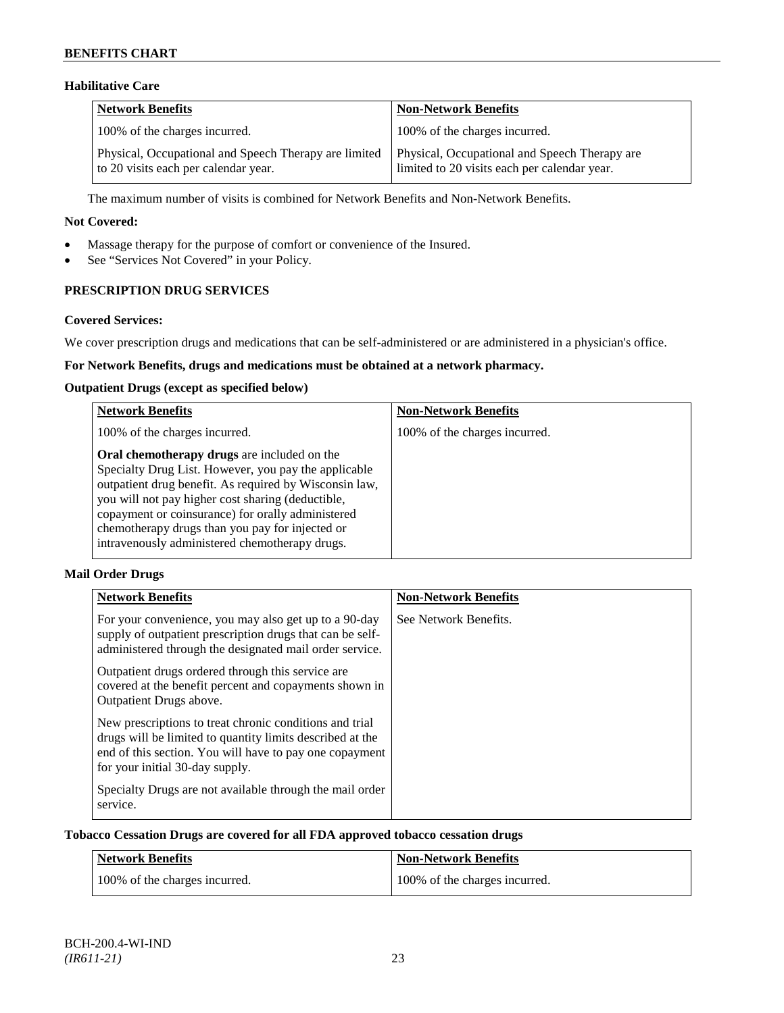## **Habilitative Care**

| Network Benefits                                                                              | <b>Non-Network Benefits</b>                                                                   |
|-----------------------------------------------------------------------------------------------|-----------------------------------------------------------------------------------------------|
| 100% of the charges incurred.                                                                 | 100% of the charges incurred.                                                                 |
| Physical, Occupational and Speech Therapy are limited<br>to 20 visits each per calendar year. | Physical, Occupational and Speech Therapy are<br>limited to 20 visits each per calendar year. |

The maximum number of visits is combined for Network Benefits and Non-Network Benefits.

### **Not Covered:**

- Massage therapy for the purpose of comfort or convenience of the Insured.
- See "Services Not Covered" in your Policy.

## **PRESCRIPTION DRUG SERVICES**

### **Covered Services:**

We cover prescription drugs and medications that can be self-administered or are administered in a physician's office.

## **For Network Benefits, drugs and medications must be obtained at a network pharmacy.**

### **Outpatient Drugs (except as specified below)**

| <b>Network Benefits</b>                                                                                                                                                                                                                                                                                                                                                      | <b>Non-Network Benefits</b>   |
|------------------------------------------------------------------------------------------------------------------------------------------------------------------------------------------------------------------------------------------------------------------------------------------------------------------------------------------------------------------------------|-------------------------------|
| 100% of the charges incurred.                                                                                                                                                                                                                                                                                                                                                | 100% of the charges incurred. |
| Oral chemotherapy drugs are included on the<br>Specialty Drug List. However, you pay the applicable<br>outpatient drug benefit. As required by Wisconsin law,<br>you will not pay higher cost sharing (deductible,<br>copayment or coinsurance) for orally administered<br>chemotherapy drugs than you pay for injected or<br>intravenously administered chemotherapy drugs. |                               |

## **Mail Order Drugs**

| <b>Network Benefits</b>                                                                                                                                                                                            | <b>Non-Network Benefits</b> |
|--------------------------------------------------------------------------------------------------------------------------------------------------------------------------------------------------------------------|-----------------------------|
| For your convenience, you may also get up to a 90-day<br>supply of outpatient prescription drugs that can be self-<br>administered through the designated mail order service.                                      | See Network Benefits.       |
| Outpatient drugs ordered through this service are.<br>covered at the benefit percent and copayments shown in<br>Outpatient Drugs above.                                                                            |                             |
| New prescriptions to treat chronic conditions and trial<br>drugs will be limited to quantity limits described at the<br>end of this section. You will have to pay one copayment<br>for your initial 30-day supply. |                             |
| Specialty Drugs are not available through the mail order<br>service.                                                                                                                                               |                             |

### **Tobacco Cessation Drugs are covered for all FDA approved tobacco cessation drugs**

| Network Benefits              | <b>Non-Network Benefits</b>   |
|-------------------------------|-------------------------------|
| 100% of the charges incurred. | 100% of the charges incurred. |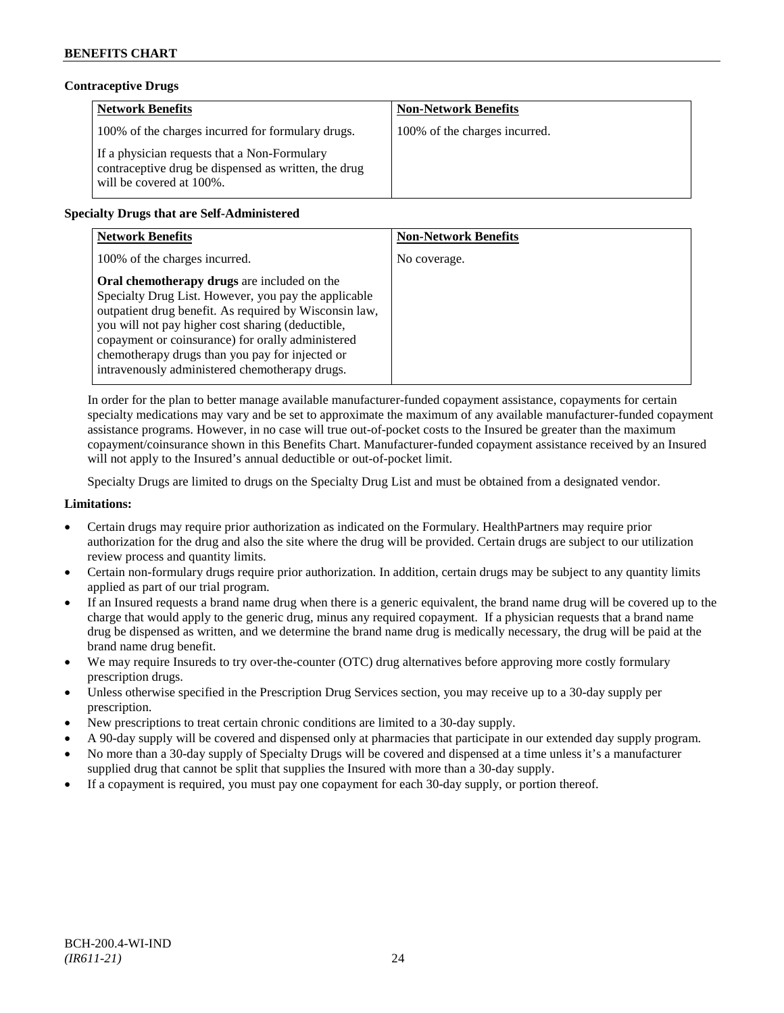## **Contraceptive Drugs**

| <b>Network Benefits</b>                                                                                                          | <b>Non-Network Benefits</b>   |
|----------------------------------------------------------------------------------------------------------------------------------|-------------------------------|
| 100% of the charges incurred for formulary drugs.                                                                                | 100% of the charges incurred. |
| If a physician requests that a Non-Formulary<br>contraceptive drug be dispensed as written, the drug<br>will be covered at 100%. |                               |

## **Specialty Drugs that are Self-Administered**

| <b>Network Benefits</b>                                                                                                                                                                                                                                                                                                                                                      | <b>Non-Network Benefits</b> |
|------------------------------------------------------------------------------------------------------------------------------------------------------------------------------------------------------------------------------------------------------------------------------------------------------------------------------------------------------------------------------|-----------------------------|
| 100% of the charges incurred.                                                                                                                                                                                                                                                                                                                                                | No coverage.                |
| Oral chemotherapy drugs are included on the<br>Specialty Drug List. However, you pay the applicable<br>outpatient drug benefit. As required by Wisconsin law,<br>you will not pay higher cost sharing (deductible,<br>copayment or coinsurance) for orally administered<br>chemotherapy drugs than you pay for injected or<br>intravenously administered chemotherapy drugs. |                             |

In order for the plan to better manage available manufacturer-funded copayment assistance, copayments for certain specialty medications may vary and be set to approximate the maximum of any available manufacturer-funded copayment assistance programs. However, in no case will true out-of-pocket costs to the Insured be greater than the maximum copayment/coinsurance shown in this Benefits Chart. Manufacturer-funded copayment assistance received by an Insured will not apply to the Insured's annual deductible or out-of-pocket limit.

Specialty Drugs are limited to drugs on the Specialty Drug List and must be obtained from a designated vendor.

### **Limitations:**

- Certain drugs may require prior authorization as indicated on the Formulary. HealthPartners may require prior authorization for the drug and also the site where the drug will be provided. Certain drugs are subject to our utilization review process and quantity limits.
- Certain non-formulary drugs require prior authorization. In addition, certain drugs may be subject to any quantity limits applied as part of our trial program.
- If an Insured requests a brand name drug when there is a generic equivalent, the brand name drug will be covered up to the charge that would apply to the generic drug, minus any required copayment. If a physician requests that a brand name drug be dispensed as written, and we determine the brand name drug is medically necessary, the drug will be paid at the brand name drug benefit.
- We may require Insureds to try over-the-counter (OTC) drug alternatives before approving more costly formulary prescription drugs.
- Unless otherwise specified in the Prescription Drug Services section, you may receive up to a 30-day supply per prescription.
- New prescriptions to treat certain chronic conditions are limited to a 30-day supply.
- A 90-day supply will be covered and dispensed only at pharmacies that participate in our extended day supply program.
- No more than a 30-day supply of Specialty Drugs will be covered and dispensed at a time unless it's a manufacturer supplied drug that cannot be split that supplies the Insured with more than a 30-day supply.
- If a copayment is required, you must pay one copayment for each 30-day supply, or portion thereof.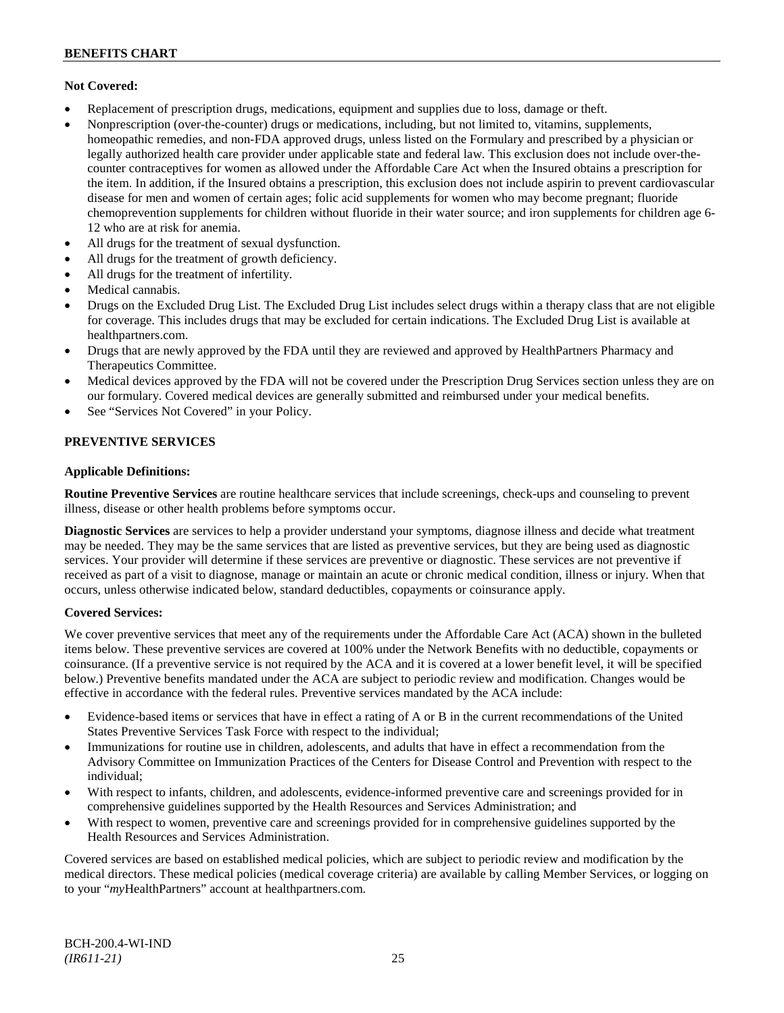### **Not Covered:**

- Replacement of prescription drugs, medications, equipment and supplies due to loss, damage or theft.
- Nonprescription (over-the-counter) drugs or medications, including, but not limited to, vitamins, supplements, homeopathic remedies, and non-FDA approved drugs, unless listed on the Formulary and prescribed by a physician or legally authorized health care provider under applicable state and federal law. This exclusion does not include over-thecounter contraceptives for women as allowed under the Affordable Care Act when the Insured obtains a prescription for the item. In addition, if the Insured obtains a prescription, this exclusion does not include aspirin to prevent cardiovascular disease for men and women of certain ages; folic acid supplements for women who may become pregnant; fluoride chemoprevention supplements for children without fluoride in their water source; and iron supplements for children age 6- 12 who are at risk for anemia.
- All drugs for the treatment of sexual dysfunction.
- All drugs for the treatment of growth deficiency.
- All drugs for the treatment of infertility.
- Medical cannabis.
- Drugs on the Excluded Drug List. The Excluded Drug List includes select drugs within a therapy class that are not eligible for coverage. This includes drugs that may be excluded for certain indications. The Excluded Drug List is available at [healthpartners.com.](http://www.healthpartners.com/)
- Drugs that are newly approved by the FDA until they are reviewed and approved by HealthPartners Pharmacy and Therapeutics Committee.
- Medical devices approved by the FDA will not be covered under the Prescription Drug Services section unless they are on our formulary. Covered medical devices are generally submitted and reimbursed under your medical benefits.
- See "Services Not Covered" in your Policy.

### **PREVENTIVE SERVICES**

### **Applicable Definitions:**

**Routine Preventive Services** are routine healthcare services that include screenings, check-ups and counseling to prevent illness, disease or other health problems before symptoms occur.

**Diagnostic Services** are services to help a provider understand your symptoms, diagnose illness and decide what treatment may be needed. They may be the same services that are listed as preventive services, but they are being used as diagnostic services. Your provider will determine if these services are preventive or diagnostic. These services are not preventive if received as part of a visit to diagnose, manage or maintain an acute or chronic medical condition, illness or injury. When that occurs, unless otherwise indicated below, standard deductibles, copayments or coinsurance apply.

#### **Covered Services:**

We cover preventive services that meet any of the requirements under the Affordable Care Act (ACA) shown in the bulleted items below. These preventive services are covered at 100% under the Network Benefits with no deductible, copayments or coinsurance. (If a preventive service is not required by the ACA and it is covered at a lower benefit level, it will be specified below.) Preventive benefits mandated under the ACA are subject to periodic review and modification. Changes would be effective in accordance with the federal rules. Preventive services mandated by the ACA include:

- Evidence-based items or services that have in effect a rating of A or B in the current recommendations of the United States Preventive Services Task Force with respect to the individual;
- Immunizations for routine use in children, adolescents, and adults that have in effect a recommendation from the Advisory Committee on Immunization Practices of the Centers for Disease Control and Prevention with respect to the individual;
- With respect to infants, children, and adolescents, evidence-informed preventive care and screenings provided for in comprehensive guidelines supported by the Health Resources and Services Administration; and
- With respect to women, preventive care and screenings provided for in comprehensive guidelines supported by the Health Resources and Services Administration.

Covered services are based on established medical policies, which are subject to periodic review and modification by the medical directors. These medical policies (medical coverage criteria) are available by calling Member Services, or logging on to your "*my*HealthPartners" account at [healthpartners.com.](http://www.healthpartners.com/)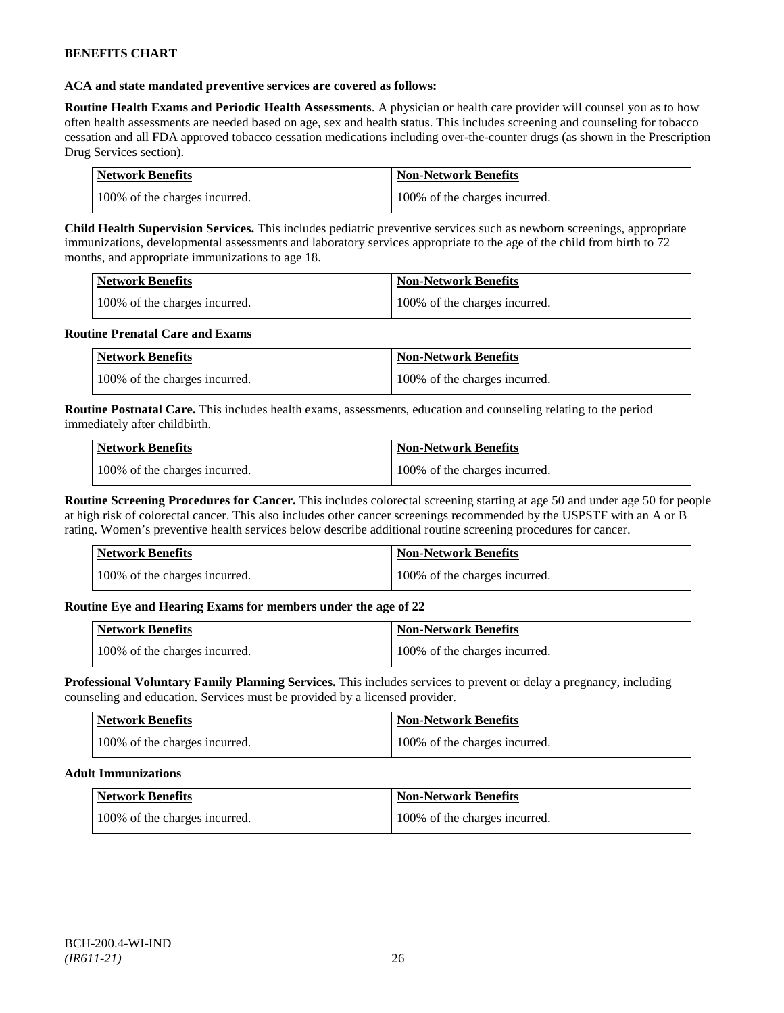### **ACA and state mandated preventive services are covered as follows:**

**Routine Health Exams and Periodic Health Assessments**. A physician or health care provider will counsel you as to how often health assessments are needed based on age, sex and health status. This includes screening and counseling for tobacco cessation and all FDA approved tobacco cessation medications including over-the-counter drugs (as shown in the Prescription Drug Services section).

| Network Benefits              | Non-Network Benefits          |
|-------------------------------|-------------------------------|
| 100% of the charges incurred. | 100% of the charges incurred. |

**Child Health Supervision Services.** This includes pediatric preventive services such as newborn screenings, appropriate immunizations, developmental assessments and laboratory services appropriate to the age of the child from birth to 72 months, and appropriate immunizations to age 18.

| <b>Network Benefits</b>       | <b>Non-Network Benefits</b>   |
|-------------------------------|-------------------------------|
| 100% of the charges incurred. | 100% of the charges incurred. |

### **Routine Prenatal Care and Exams**

| Network Benefits              | Non-Network Benefits          |
|-------------------------------|-------------------------------|
| 100% of the charges incurred. | 100% of the charges incurred. |

**Routine Postnatal Care.** This includes health exams, assessments, education and counseling relating to the period immediately after childbirth.

| <b>Network Benefits</b>       | Non-Network Benefits          |
|-------------------------------|-------------------------------|
| 100% of the charges incurred. | 100% of the charges incurred. |

**Routine Screening Procedures for Cancer.** This includes colorectal screening starting at age 50 and under age 50 for people at high risk of colorectal cancer. This also includes other cancer screenings recommended by the USPSTF with an A or B rating. Women's preventive health services below describe additional routine screening procedures for cancer.

| Network Benefits              | <b>Non-Network Benefits</b>   |
|-------------------------------|-------------------------------|
| 100% of the charges incurred. | 100% of the charges incurred. |

## **Routine Eye and Hearing Exams for members under the age of 22**

| Network Benefits              | <b>Non-Network Benefits</b>   |
|-------------------------------|-------------------------------|
| 100% of the charges incurred. | 100% of the charges incurred. |

**Professional Voluntary Family Planning Services.** This includes services to prevent or delay a pregnancy, including counseling and education. Services must be provided by a licensed provider.

| <b>Network Benefits</b>       | <b>Non-Network Benefits</b>   |
|-------------------------------|-------------------------------|
| 100% of the charges incurred. | 100% of the charges incurred. |

#### **Adult Immunizations**

| <b>Network Benefits</b>       | <b>Non-Network Benefits</b>   |
|-------------------------------|-------------------------------|
| 100% of the charges incurred. | 100% of the charges incurred. |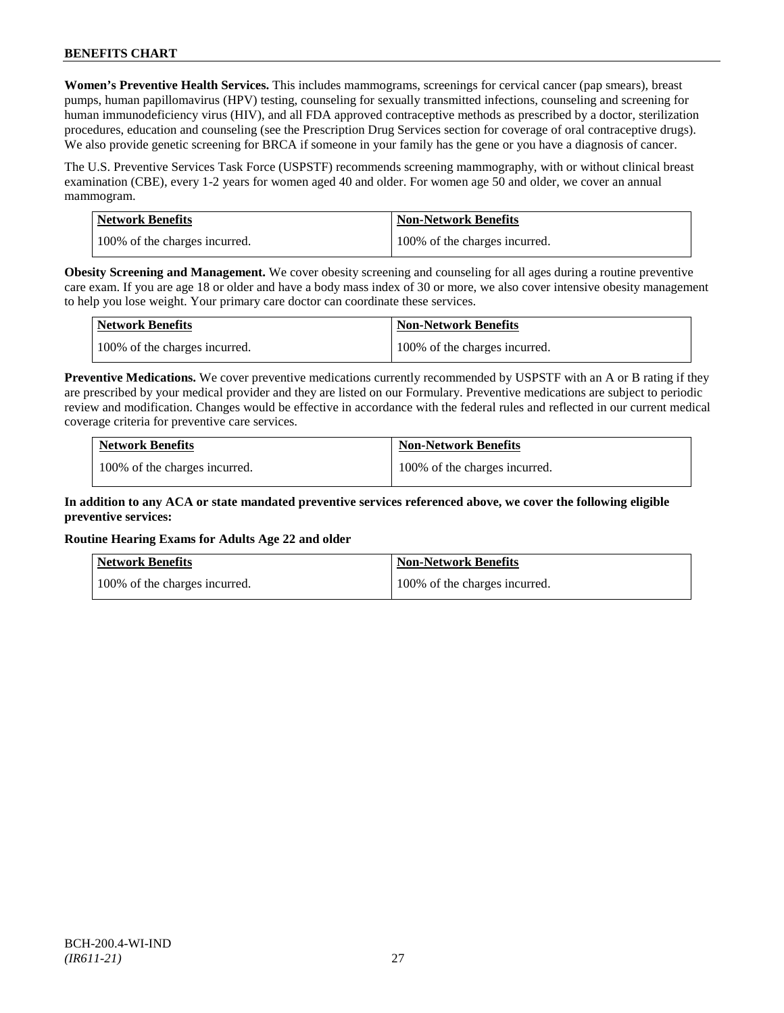**Women's Preventive Health Services.** This includes mammograms, screenings for cervical cancer (pap smears), breast pumps, human papillomavirus (HPV) testing, counseling for sexually transmitted infections, counseling and screening for human immunodeficiency virus (HIV), and all FDA approved contraceptive methods as prescribed by a doctor, sterilization procedures, education and counseling (see the Prescription Drug Services section for coverage of oral contraceptive drugs). We also provide genetic screening for BRCA if someone in your family has the gene or you have a diagnosis of cancer.

The U.S. Preventive Services Task Force (USPSTF) recommends screening mammography, with or without clinical breast examination (CBE), every 1-2 years for women aged 40 and older. For women age 50 and older, we cover an annual mammogram.

| Network Benefits              | <b>Non-Network Benefits</b>   |
|-------------------------------|-------------------------------|
| 100% of the charges incurred. | 100% of the charges incurred. |

**Obesity Screening and Management.** We cover obesity screening and counseling for all ages during a routine preventive care exam. If you are age 18 or older and have a body mass index of 30 or more, we also cover intensive obesity management to help you lose weight. Your primary care doctor can coordinate these services.

| <b>Network Benefits</b>       | <b>Non-Network Benefits</b>   |
|-------------------------------|-------------------------------|
| 100% of the charges incurred. | 100% of the charges incurred. |

**Preventive Medications.** We cover preventive medications currently recommended by USPSTF with an A or B rating if they are prescribed by your medical provider and they are listed on our Formulary. Preventive medications are subject to periodic review and modification. Changes would be effective in accordance with the federal rules and reflected in our current medical coverage criteria for preventive care services.

| <b>Network Benefits</b>       | <b>Non-Network Benefits</b>   |
|-------------------------------|-------------------------------|
| 100% of the charges incurred. | 100% of the charges incurred. |

## **In addition to any ACA or state mandated preventive services referenced above, we cover the following eligible preventive services:**

## **Routine Hearing Exams for Adults Age 22 and older**

| <b>Network Benefits</b>       | <b>Non-Network Benefits</b>   |
|-------------------------------|-------------------------------|
| 100% of the charges incurred. | 100% of the charges incurred. |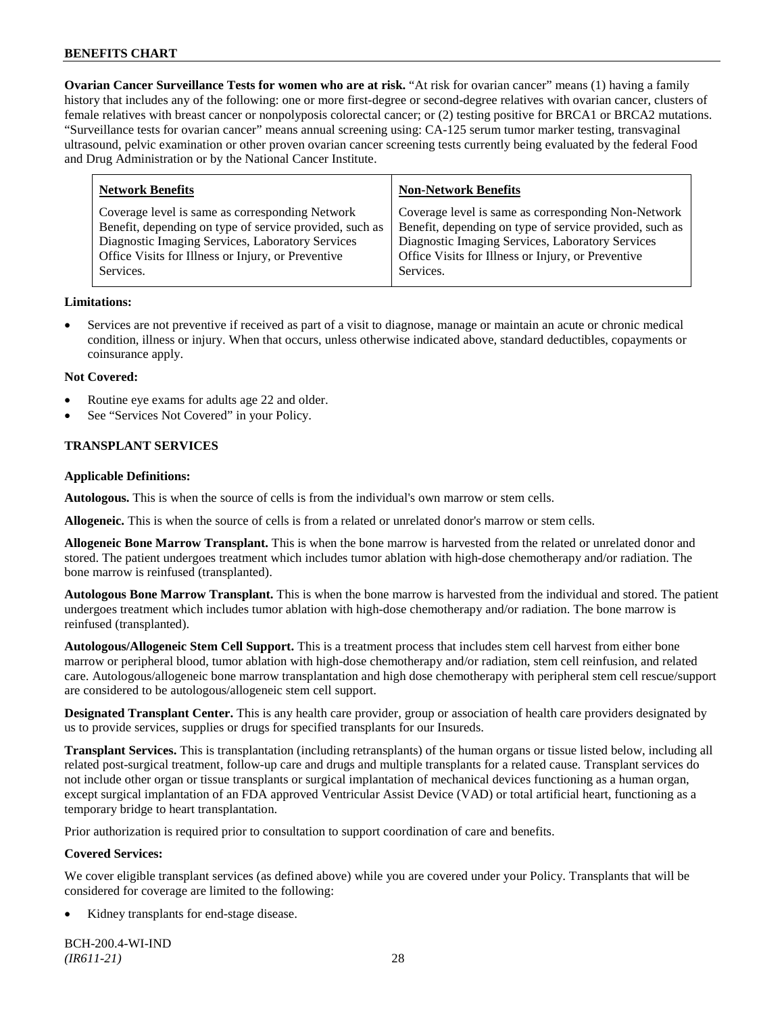**Ovarian Cancer Surveillance Tests for women who are at risk.** "At risk for ovarian cancer" means (1) having a family history that includes any of the following: one or more first-degree or second-degree relatives with ovarian cancer, clusters of female relatives with breast cancer or nonpolyposis colorectal cancer; or (2) testing positive for BRCA1 or BRCA2 mutations. "Surveillance tests for ovarian cancer" means annual screening using: CA-125 serum tumor marker testing, transvaginal ultrasound, pelvic examination or other proven ovarian cancer screening tests currently being evaluated by the federal Food and Drug Administration or by the National Cancer Institute.

| <b>Network Benefits</b>                                 | <b>Non-Network Benefits</b>                             |
|---------------------------------------------------------|---------------------------------------------------------|
| Coverage level is same as corresponding Network         | Coverage level is same as corresponding Non-Network     |
| Benefit, depending on type of service provided, such as | Benefit, depending on type of service provided, such as |
| Diagnostic Imaging Services, Laboratory Services        | Diagnostic Imaging Services, Laboratory Services        |
| Office Visits for Illness or Injury, or Preventive      | Office Visits for Illness or Injury, or Preventive      |
| Services.                                               | Services.                                               |

### **Limitations:**

• Services are not preventive if received as part of a visit to diagnose, manage or maintain an acute or chronic medical condition, illness or injury. When that occurs, unless otherwise indicated above, standard deductibles, copayments or coinsurance apply.

### **Not Covered:**

- Routine eye exams for adults age 22 and older.
- See "Services Not Covered" in your Policy.

## **TRANSPLANT SERVICES**

### **Applicable Definitions:**

**Autologous.** This is when the source of cells is from the individual's own marrow or stem cells.

**Allogeneic.** This is when the source of cells is from a related or unrelated donor's marrow or stem cells.

**Allogeneic Bone Marrow Transplant.** This is when the bone marrow is harvested from the related or unrelated donor and stored. The patient undergoes treatment which includes tumor ablation with high-dose chemotherapy and/or radiation. The bone marrow is reinfused (transplanted).

**Autologous Bone Marrow Transplant.** This is when the bone marrow is harvested from the individual and stored. The patient undergoes treatment which includes tumor ablation with high-dose chemotherapy and/or radiation. The bone marrow is reinfused (transplanted).

**Autologous/Allogeneic Stem Cell Support.** This is a treatment process that includes stem cell harvest from either bone marrow or peripheral blood, tumor ablation with high-dose chemotherapy and/or radiation, stem cell reinfusion, and related care. Autologous/allogeneic bone marrow transplantation and high dose chemotherapy with peripheral stem cell rescue/support are considered to be autologous/allogeneic stem cell support.

**Designated Transplant Center.** This is any health care provider, group or association of health care providers designated by us to provide services, supplies or drugs for specified transplants for our Insureds.

**Transplant Services.** This is transplantation (including retransplants) of the human organs or tissue listed below, including all related post-surgical treatment, follow-up care and drugs and multiple transplants for a related cause. Transplant services do not include other organ or tissue transplants or surgical implantation of mechanical devices functioning as a human organ, except surgical implantation of an FDA approved Ventricular Assist Device (VAD) or total artificial heart, functioning as a temporary bridge to heart transplantation.

Prior authorization is required prior to consultation to support coordination of care and benefits.

## **Covered Services:**

We cover eligible transplant services (as defined above) while you are covered under your Policy. Transplants that will be considered for coverage are limited to the following:

Kidney transplants for end-stage disease.

BCH-200.4-WI-IND *(IR611-21)* 28